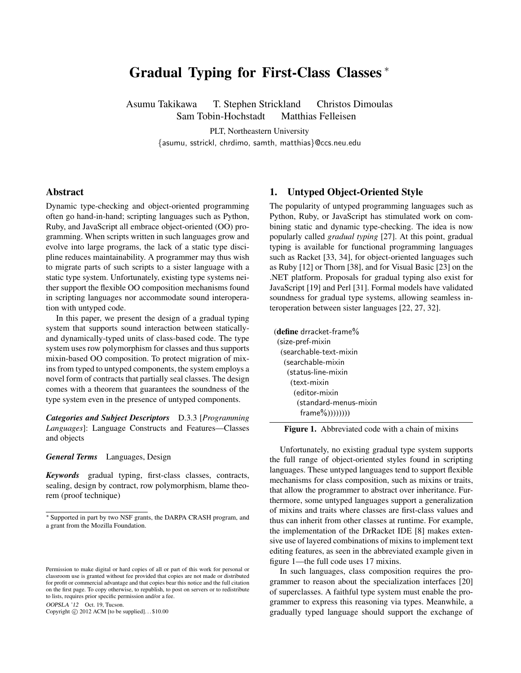# Gradual Typing for First-Class Classes <sup>∗</sup>

Asumu Takikawa T. Stephen Strickland Christos Dimoulas Sam Tobin-Hochstadt Matthias Felleisen PLT, Northeastern University

{asumu, sstrickl, chrdimo, samth, matthias}@ccs.neu.edu

## Abstract

Dynamic type-checking and object-oriented programming often go hand-in-hand; scripting languages such as Python, Ruby, and JavaScript all embrace object-oriented (OO) programming. When scripts written in such languages grow and evolve into large programs, the lack of a static type discipline reduces maintainability. A programmer may thus wish to migrate parts of such scripts to a sister language with a static type system. Unfortunately, existing type systems neither support the flexible OO composition mechanisms found in scripting languages nor accommodate sound interoperation with untyped code.

In this paper, we present the design of a gradual typing system that supports sound interaction between staticallyand dynamically-typed units of class-based code. The type system uses row polymorphism for classes and thus supports mixin-based OO composition. To protect migration of mixins from typed to untyped components, the system employs a novel form of contracts that partially seal classes. The design comes with a theorem that guarantees the soundness of the type system even in the presence of untyped components.

*Categories and Subject Descriptors* D.3.3 [*Programming Languages*]: Language Constructs and Features—Classes and objects

*General Terms* Languages, Design

*Keywords* gradual typing, first-class classes, contracts, sealing, design by contract, row polymorphism, blame theorem (proof technique)

OOPSLA '12 Oct. 19, Tucson.

Copyright  $\odot$  2012 ACM [to be supplied]...\$10.00

# 1. Untyped Object-Oriented Style

The popularity of untyped programming languages such as Python, Ruby, or JavaScript has stimulated work on combining static and dynamic type-checking. The idea is now popularly called *gradual typing* [\[27\]](#page-17-0). At this point, gradual typing is available for functional programming languages such as Racket [\[33,](#page-17-1) [34\]](#page-17-2), for object-oriented languages such as Ruby [\[12\]](#page-17-3) or Thorn [\[38\]](#page-17-4), and for Visual Basic [\[23\]](#page-17-5) on the .NET platform. Proposals for gradual typing also exist for JavaScript [\[19\]](#page-17-6) and Perl [\[31\]](#page-17-7). Formal models have validated soundness for gradual type systems, allowing seamless interoperation between sister languages [\[22,](#page-17-8) [27,](#page-17-0) [32\]](#page-17-9).

| ( <b>define</b> drracket-frame $\%$ |
|-------------------------------------|
| (size-pref-mixin                    |
| (searchable-text-mixin              |
| (searchable-mixin                   |
| (status-line-mixin                  |
| (text-mixin                         |
| (editor-mixin                       |
| (standard-menus-mixin               |
| $frame\%)))))))$                    |
|                                     |

<span id="page-0-0"></span>Figure 1. Abbreviated code with a chain of mixins

Unfortunately, no existing gradual type system supports the full range of object-oriented styles found in scripting languages. These untyped languages tend to support flexible mechanisms for class composition, such as mixins or traits, that allow the programmer to abstract over inheritance. Furthermore, some untyped languages support a generalization of mixins and traits where classes are first-class values and thus can inherit from other classes at runtime. For example, the implementation of the DrRacket IDE [\[8\]](#page-16-0) makes extensive use of layered combinations of mixins to implement text editing features, as seen in the abbreviated example given in figure [1—](#page-0-0)the full code uses 17 mixins.

In such languages, class composition requires the programmer to reason about the specialization interfaces [\[20\]](#page-17-10) of superclasses. A faithful type system must enable the programmer to express this reasoning via types. Meanwhile, a gradually typed language should support the exchange of

<sup>∗</sup> Supported in part by two NSF grants, the DARPA CRASH program, and a grant from the Mozilla Foundation.

Permission to make digital or hard copies of all or part of this work for personal or classroom use is granted without fee provided that copies are not made or distributed for profit or commercial advantage and that copies bear this notice and the full citation on the first page. To copy otherwise, to republish, to post on servers or to redistribute to lists, requires prior specific permission and/or a fee.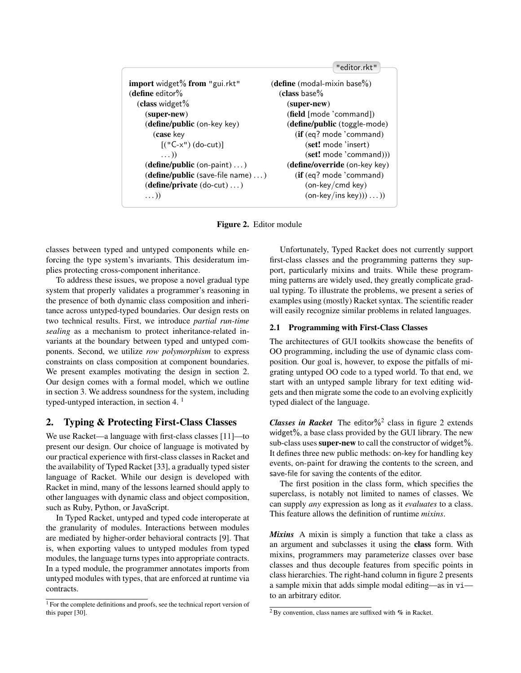|                                                               | "editor.rkt"                                  |
|---------------------------------------------------------------|-----------------------------------------------|
| import widget% from "gui.rkt"                                 | $(\text{define} \text{ (modal-mixin base%)})$ |
| (define editor%                                               | (class base $%$                               |
| (class widget $%$                                             | $(super-new)$                                 |
| (super-new)                                                   | (field [mode 'command])                       |
| (define/public (on-key key)                                   | (define/public (toggle-mode)                  |
| (case key                                                     | (if (eq? mode 'command)                       |
| $[("C-x")$ (do-cut)]                                          | (set! mode 'insert)                           |
| $\ldots$ )                                                    | $(set!$ mode 'command))                       |
| $(\text{define}/\text{public} (\text{on-paint}) \dots)$       | (define/override (on-key key)                 |
| $(\text{define}/\text{public} (\text{save-file name}) \dots)$ | (if (eq? mode 'command)                       |
| $(\text{define/private} (\text{do-cut}) \dots)$               | (on-key/cmd key)                              |
| $\ldots$ )                                                    | $(on-key/ins key)))  )$                       |

Figure 2. Editor module

classes between typed and untyped components while enforcing the type system's invariants. This desideratum implies protecting cross-component inheritance.

To address these issues, we propose a novel gradual type system that properly validates a programmer's reasoning in the presence of both dynamic class composition and inheritance across untyped-typed boundaries. Our design rests on two technical results. First, we introduce *partial run-time sealing* as a mechanism to protect inheritance-related invariants at the boundary between typed and untyped components. Second, we utilize *row polymorphism* to express constraints on class composition at component boundaries. We present examples motivating the design in section [2.](#page-1-0) Our design comes with a formal model, which we outline in section [3.](#page-6-0) We address soundness for the system, including typed-untyped interaction, in section [4.](#page-12-0)<sup>1</sup>

# <span id="page-1-0"></span>2. Typing & Protecting First-Class Classes

We use Racket—a language with first-class classes [\[11\]](#page-17-11)—to present our design. Our choice of language is motivated by our practical experience with first-class classes in Racket and the availability of Typed Racket [\[33\]](#page-17-1), a gradually typed sister language of Racket. While our design is developed with Racket in mind, many of the lessons learned should apply to other languages with dynamic class and object composition, such as Ruby, Python, or JavaScript.

In Typed Racket, untyped and typed code interoperate at the granularity of modules. Interactions between modules are mediated by higher-order behavioral contracts [\[9\]](#page-16-1). That is, when exporting values to untyped modules from typed modules, the language turns types into appropriate contracts. In a typed module, the programmer annotates imports from untyped modules with types, that are enforced at runtime via contracts.

<span id="page-1-1"></span>Unfortunately, Typed Racket does not currently support first-class classes and the programming patterns they support, particularly mixins and traits. While these programming patterns are widely used, they greatly complicate gradual typing. To illustrate the problems, we present a series of examples using (mostly) Racket syntax. The scientific reader will easily recognize similar problems in related languages.

## 2.1 Programming with First-Class Classes

The architectures of GUI toolkits showcase the benefits of OO programming, including the use of dynamic class composition. Our goal is, however, to expose the pitfalls of migrating untyped OO code to a typed world. To that end, we start with an untyped sample library for text editing widgets and then migrate some the code to an evolving explicitly typed dialect of the language.

*Classes in Racket* The editor%<sup>2</sup> class in figure [2](#page-1-1) extends widget%, a base class provided by the GUI library. The new sub-class uses super-new to call the constructor of widget%. It defines three new public methods: on-key for handling key events, on-paint for drawing the contents to the screen, and save-file for saving the contents of the editor.

The first position in the class form, which specifies the superclass, is notably not limited to names of classes. We can supply *any* expression as long as it *evaluates* to a class. This feature allows the definition of runtime *mixins*.

*Mixins* A mixin is simply a function that take a class as an argument and subclasses it using the class form. With mixins, programmers may parameterize classes over base classes and thus decouple features from specific points in class hierarchies. The right-hand column in figure [2](#page-1-1) presents a sample mixin that adds simple modal editing—as in vi to an arbitrary editor.

<sup>&</sup>lt;sup>1</sup> For the complete definitions and proofs, see the technical report version of this paper [\[30\]](#page-17-12).

 $2$  By convention, class names are suffixed with  $%$  in Racket.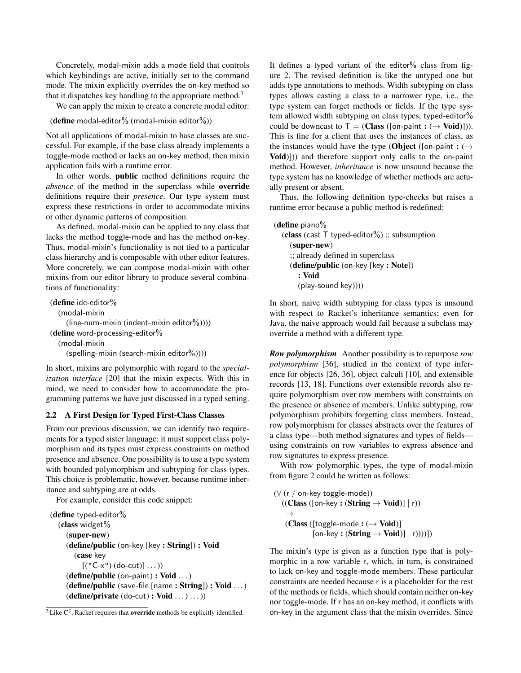Concretely, modal-mixin adds a mode field that controls which keybindings are active, initially set to the command mode. The mixin explicitly overrides the on-key method so that it dispatches key handling to the appropriate method.<sup>3</sup>

We can apply the mixin to create a concrete modal editor:

(define modal-editor% (modal-mixin editor%))

Not all applications of modal-mixin to base classes are successful. For example, if the base class already implements a toggle-mode method or lacks an on-key method, then mixin application fails with a runtime error.

In other words, public method definitions require the *absence* of the method in the superclass while override definitions require their *presence*. Our type system must express these restrictions in order to accommodate mixins or other dynamic patterns of composition.

As defined, modal-mixin can be applied to any class that lacks the method toggle-mode and has the method on-key. Thus, modal-mixin's functionality is not tied to a particular class hierarchy and is composable with other editor features. More concretely, we can compose modal-mixin with other mixins from our editor library to produce several combinations of functionality:

```
(define ide-editor%
  (modal-mixin
    (line-num-mixin (indent-mixin editor%))))
(define word-processing-editor%
  (modal-mixin
    (spelling-mixin (search-mixin editor%))))
```
In short, mixins are polymorphic with regard to the *specialization interface* [\[20\]](#page-17-10) that the mixin expects. With this in mind, we need to consider how to accommodate the programming patterns we have just discussed in a typed setting.

## 2.2 A First Design for Typed First-Class Classes

From our previous discussion, we can identify two requirements for a typed sister language: it must support class polymorphism and its types must express constraints on method presence and absence. One possibility is to use a type system with bounded polymorphism and subtyping for class types. This choice is problematic, however, because runtime inheritance and subtyping are at odds.

For example, consider this code snippet:

(define typed-editor% (class widget% (super-new) (define/public (on-key [key : String]) : Void (case key  $[("C-x")$  (do-cut)] ...)) (define/public (on-paint) : Void . . . )  $(define/public (save-file [name : String]): Void ...)$  $(define/private (do-cut): Void ... ) ... )$ 

It defines a typed variant of the editor% class from figure [2.](#page-1-1) The revised definition is like the untyped one but adds type annotations to methods. Width subtyping on class types allows casting a class to a narrower type, i.e., the type system can forget methods or fields. If the type system allowed width subtyping on class types, typed-editor% could be downcast to  $T = (Class ( [on-paint : (\rightarrow Void)])).$ This is fine for a client that uses the instances of class, as the instances would have the type (Object ([on-paint :  $(\rightarrow$ Void)])) and therefore support only calls to the on-paint method. However, *inheritance* is now unsound because the type system has no knowledge of whether methods are actually present or absent.

Thus, the following definition type-checks but raises a runtime error because a public method is redefined:

| (define piano $\%$                           |
|----------------------------------------------|
| (class (cast $T$ typed-editor%); subsumption |
| $(super-new)$                                |
| :; already defined in superclass             |
| (define/public (on-key [key : Note])         |
| : Void                                       |
| $(play-sound key))))$                        |

In short, naive width subtyping for class types is unsound with respect to Racket's inheritance semantics; even for Java, the naive approach would fail because a subclass may override a method with a different type.

*Row polymorphism* Another possibility is to repurpose *row polymorphism* [\[36\]](#page-17-13), studied in the context of type inference for objects [\[26,](#page-17-14) [36\]](#page-17-13), object calculi [\[10\]](#page-16-2), and extensible records [\[13,](#page-17-15) [18\]](#page-17-16). Functions over extensible records also require polymorphism over row members with constraints on the presence or absence of members. Unlike subtyping, row polymorphism prohibits forgetting class members. Instead, row polymorphism for classes abstracts over the features of a class type—both method signatures and types of fields using constraints on row variables to express absence and row signatures to express presence.

With row polymorphic types, the type of modal-mixin from figure [2](#page-1-1) could be written as follows:

```
(∀ (r / on-key toggle-mode))
   ((Class ([on-key : (String \rightarrow void)] | r))\rightarrow\left(\text{Class}\left(\text{[togg]e-mode}:\left(\to\text{Void}\right)\right)\right)[on-key : (String \rightarrow void)] | r)))]
```
The mixin's type is given as a function type that is polymorphic in a row variable r, which, in turn, is constrained to lack on-key and toggle-mode members. These particular constraints are needed because r is a placeholder for the rest of the methods or fields, which should contain neither on-key nor toggle-mode. If r has an on-key method, it conflicts with on-key in the argument class that the mixin overrides. Since

 $3$  Like  $C^{\sharp}$ , Racket requires that **override** methods be explicitly identified.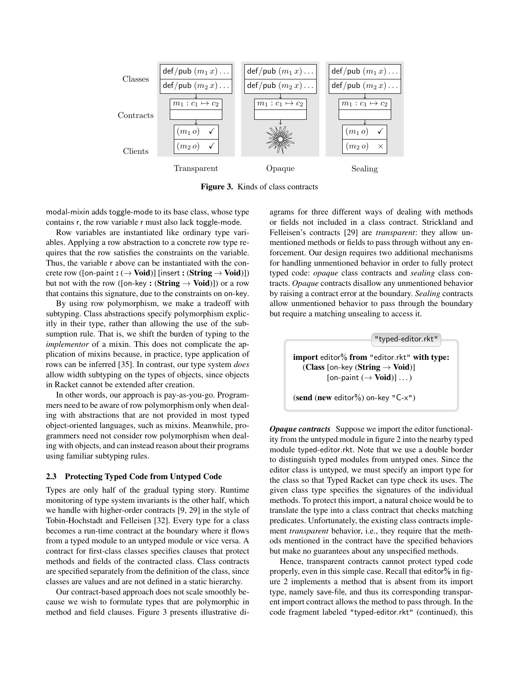

<span id="page-3-0"></span>Figure 3. Kinds of class contracts

modal-mixin adds toggle-mode to its base class, whose type contains r, the row variable r must also lack toggle-mode.

Row variables are instantiated like ordinary type variables. Applying a row abstraction to a concrete row type requires that the row satisfies the constraints on the variable. Thus, the variable r above can be instantiated with the concrete row ([on-paint :  $(\rightarrow$  Void)] [insert : (String  $\rightarrow$  Void)]) but not with the row ([on-key : (**String**  $\rightarrow$  **Void**)]) or a row that contains this signature, due to the constraints on on-key.

By using row polymorphism, we make a tradeoff with subtyping. Class abstractions specify polymorphism explicitly in their type, rather than allowing the use of the subsumption rule. That is, we shift the burden of typing to the *implementor* of a mixin. This does not complicate the application of mixins because, in practice, type application of rows can be inferred [\[35\]](#page-17-17). In contrast, our type system *does* allow width subtyping on the types of objects, since objects in Racket cannot be extended after creation.

In other words, our approach is pay-as-you-go. Programmers need to be aware of row polymorphism only when dealing with abstractions that are not provided in most typed object-oriented languages, such as mixins. Meanwhile, programmers need not consider row polymorphism when dealing with objects, and can instead reason about their programs using familiar subtyping rules.

## <span id="page-3-1"></span>2.3 Protecting Typed Code from Untyped Code

Types are only half of the gradual typing story. Runtime monitoring of type system invariants is the other half, which we handle with higher-order contracts [\[9,](#page-16-1) [29\]](#page-17-18) in the style of Tobin-Hochstadt and Felleisen [\[32\]](#page-17-9). Every type for a class becomes a run-time contract at the boundary where it flows from a typed module to an untyped module or vice versa. A contract for first-class classes specifies clauses that protect methods and fields of the contracted class. Class contracts are specified separately from the definition of the class, since classes are values and are not defined in a static hierarchy.

Our contract-based approach does not scale smoothly because we wish to formulate types that are polymorphic in method and field clauses. Figure [3](#page-3-0) presents illustrative diagrams for three different ways of dealing with methods or fields not included in a class contract. Strickland and Felleisen's contracts [\[29\]](#page-17-18) are *transparent*: they allow unmentioned methods or fields to pass through without any enforcement. Our design requires two additional mechanisms for handling unmentioned behavior in order to fully protect typed code: *opaque* class contracts and *sealing* class contracts. *Opaque* contracts disallow any unmentioned behavior by raising a contract error at the boundary. *Sealing* contracts allow unmentioned behavior to pass through the boundary but require a matching unsealing to access it.

> import editor% from "editor.rkt" with type: (Class [on-key (String  $\rightarrow$  Void)] [on-paint  $(\rightarrow$  Void)]  $\ldots$ ) "typed-editor.rkt"

(send (new editor $\%$ ) on-key "C-x")

*Opaque contracts* Suppose we import the editor functionality from the untyped module in figure [2](#page-1-1) into the nearby typed module typed-editor.rkt. Note that we use a double border to distinguish typed modules from untyped ones. Since the editor class is untyped, we must specify an import type for the class so that Typed Racket can type check its uses. The given class type specifies the signatures of the individual methods. To protect this import, a natural choice would be to translate the type into a class contract that checks matching predicates. Unfortunately, the existing class contracts implement *transparent* behavior, i.e., they require that the methods mentioned in the contract have the specified behaviors but make no guarantees about any unspecified methods.

Hence, transparent contracts cannot protect typed code properly, even in this simple case. Recall that editor% in figure [2](#page-1-1) implements a method that is absent from its import type, namely save-file, and thus its corresponding transparent import contract allows the method to pass through. In the code fragment labeled "typed-editor.rkt" (continued), this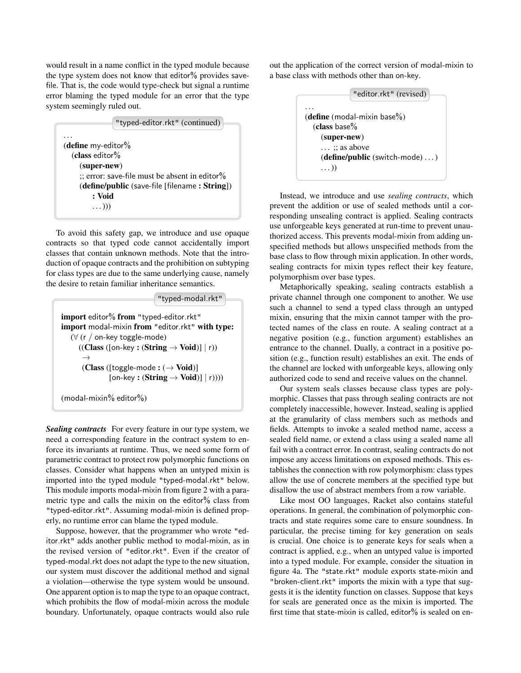would result in a name conflict in the typed module because the type system does not know that editor% provides savefile. That is, the code would type-check but signal a runtime error blaming the typed module for an error that the type system seemingly ruled out.

. . . (define my-editor% (class editor% (super-new) ;; error: save-file must be absent in editor% (define/public (save-file [filename : String]) : Void  $\ldots$ )) "typed-editor.rkt" (continued)

To avoid this safety gap, we introduce and use opaque contracts so that typed code cannot accidentally import classes that contain unknown methods. Note that the introduction of opaque contracts and the prohibition on subtyping for class types are due to the same underlying cause, namely the desire to retain familiar inheritance semantics.

import editor% from "typed-editor.rkt" import modal-mixin from "editor.rkt" with type: (∀ (r / on-key toggle-mode)  $((Class ( [on-key : (String \rightarrow void)] | r))$  $\rightarrow$  $\left(\text{Class}\left(\text{[togg]e-mode}:\left(\to\text{void}\right)\right)\right)$  $[on-key : (String \rightarrow void)] | r))))$ (modal-mixin% editor%) "typed-modal.rkt"

*Sealing contracts* For every feature in our type system, we need a corresponding feature in the contract system to enforce its invariants at runtime. Thus, we need some form of parametric contract to protect row polymorphic functions on classes. Consider what happens when an untyped mixin is imported into the typed module "typed-modal.rkt" below. This module imports modal-mixin from figure [2](#page-1-1) with a parametric type and calls the mixin on the editor% class from "typed-editor.rkt". Assuming modal-mixin is defined properly, no runtime error can blame the typed module.

Suppose, however, that the programmer who wrote "editor.rkt" adds another public method to modal-mixin, as in the revised version of "editor.rkt". Even if the creator of typed-modal.rkt does not adapt the type to the new situation, our system must discover the additional method and signal a violation—otherwise the type system would be unsound. One apparent option is to map the type to an opaque contract, which prohibits the flow of modal-mixin across the module boundary. Unfortunately, opaque contracts would also rule out the application of the correct version of modal-mixin to a base class with methods other than on-key.



Instead, we introduce and use *sealing contracts*, which prevent the addition or use of sealed methods until a corresponding unsealing contract is applied. Sealing contracts use unforgeable keys generated at run-time to prevent unauthorized access. This prevents modal-mixin from adding unspecified methods but allows unspecified methods from the base class to flow through mixin application. In other words, sealing contracts for mixin types reflect their key feature, polymorphism over base types.

Metaphorically speaking, sealing contracts establish a private channel through one component to another. We use such a channel to send a typed class through an untyped mixin, ensuring that the mixin cannot tamper with the protected names of the class en route. A sealing contract at a negative position (e.g., function argument) establishes an entrance to the channel. Dually, a contract in a positive position (e.g., function result) establishes an exit. The ends of the channel are locked with unforgeable keys, allowing only authorized code to send and receive values on the channel.

Our system seals classes because class types are polymorphic. Classes that pass through sealing contracts are not completely inaccessible, however. Instead, sealing is applied at the granularity of class members such as methods and fields. Attempts to invoke a sealed method name, access a sealed field name, or extend a class using a sealed name all fail with a contract error. In contrast, sealing contracts do not impose any access limitations on exposed methods. This establishes the connection with row polymorphism: class types allow the use of concrete members at the specified type but disallow the use of abstract members from a row variable.

Like most OO languages, Racket also contains stateful operations. In general, the combination of polymorphic contracts and state requires some care to ensure soundness. In particular, the precise timing for key generation on seals is crucial. One choice is to generate keys for seals when a contract is applied, e.g., when an untyped value is imported into a typed module. For example, consider the situation in figure [4a.](#page-5-0) The "state.rkt" module exports state-mixin and "broken-client.rkt" imports the mixin with a type that suggests it is the identity function on classes. Suppose that keys for seals are generated once as the mixin is imported. The first time that state-mixin is called, editor% is sealed on en-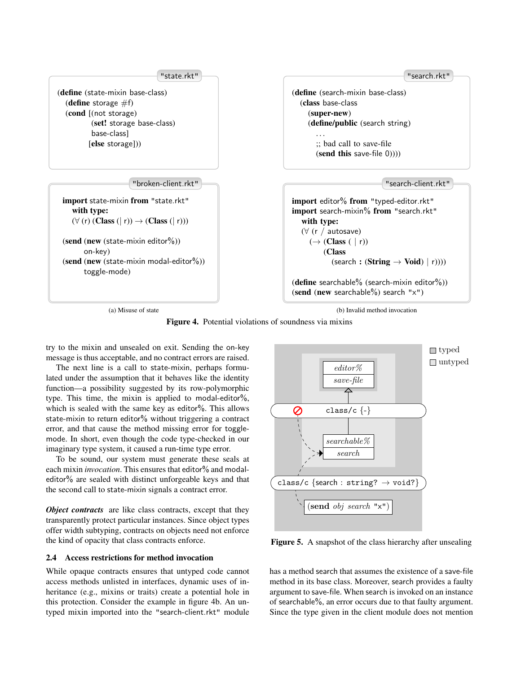<span id="page-5-0"></span>

Figure 4. Potential violations of soundness via mixins

try to the mixin and unsealed on exit. Sending the on-key message is thus acceptable, and no contract errors are raised.

The next line is a call to state-mixin, perhaps formulated under the assumption that it behaves like the identity function—a possibility suggested by its row-polymorphic type. This time, the mixin is applied to modal-editor%, which is sealed with the same key as editor<sup>%</sup>. This allows state-mixin to return editor% without triggering a contract error, and that cause the method missing error for togglemode. In short, even though the code type-checked in our imaginary type system, it caused a run-time type error.

To be sound, our system must generate these seals at each mixin *invocation*. This ensures that editor<sup>%</sup> and modaleditor% are sealed with distinct unforgeable keys and that the second call to state-mixin signals a contract error.

*Object contracts* are like class contracts, except that they transparently protect particular instances. Since object types offer width subtyping, contracts on objects need not enforce the kind of opacity that class contracts enforce.

#### 2.4 Access restrictions for method invocation

While opaque contracts ensures that untyped code cannot access methods unlisted in interfaces, dynamic uses of inheritance (e.g., mixins or traits) create a potential hole in this protection. Consider the example in figure [4b.](#page-5-1) An untyped mixin imported into the "search-client.rkt" module

<span id="page-5-1"></span>

<span id="page-5-2"></span>Figure 5. A snapshot of the class hierarchy after unsealing

has a method search that assumes the existence of a save-file method in its base class. Moreover, search provides a faulty argument to save-file. When search is invoked on an instance of searchable%, an error occurs due to that faulty argument. Since the type given in the client module does not mention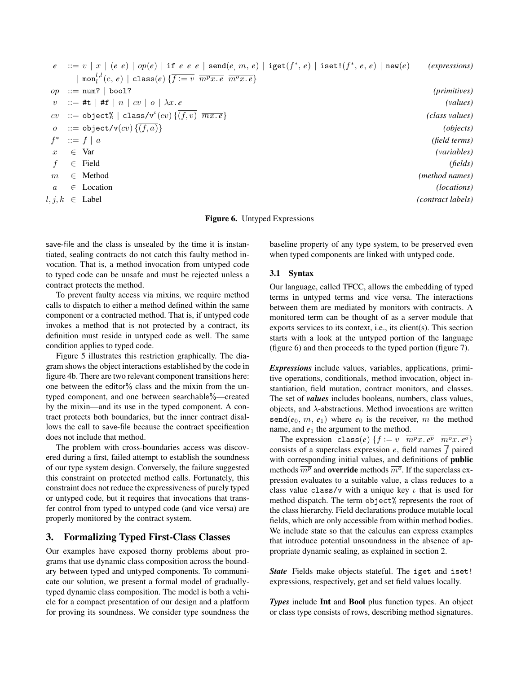$$
e ::= v | x | (e e) | op(e) | if e e e | send(e, m, e) | iset(f^*, e) | iset!(f^*, e, e) | new(e) \t(expressions)
$$
  
\n
$$
| mon_{l}^{l,l}(c, e) | class(e) \{ \overline{f := v} \overline{m^p x . e} \overline{m^o x . e} \}
$$
  
\n
$$
op ::= num? | bool?
$$
  
\n
$$
v ::= \# t | #f | n | cv | o | \lambda x . e \t (values)
$$
  
\n
$$
cv ::= object \{ \text{class}/v^l(cv) \{ \overline{(f, v)} \overline{m x . e} \}
$$
  
\n
$$
o ::= object \{ v(cu) \{ \overline{(f, a)} \}
$$
  
\n
$$
f^* ::= f | a \t (field terms)
$$
  
\n
$$
f \in Field \t (fields)
$$
  
\n
$$
m \in Method \t (mathmand names)
$$
  
\n
$$
a \in Location \t (locations)
$$
  
\n
$$
l, j, k \in Label \t (control labels) \t (contract labels)
$$

<span id="page-6-1"></span>Figure 6. Untyped Expressions

save-file and the class is unsealed by the time it is instantiated, sealing contracts do not catch this faulty method invocation. That is, a method invocation from untyped code to typed code can be unsafe and must be rejected unless a contract protects the method.

To prevent faulty access via mixins, we require method calls to dispatch to either a method defined within the same component or a contracted method. That is, if untyped code invokes a method that is not protected by a contract, its definition must reside in untyped code as well. The same condition applies to typed code.

Figure [5](#page-5-2) illustrates this restriction graphically. The diagram shows the object interactions established by the code in figure [4b.](#page-5-1) There are two relevant component transitions here: one between the editor% class and the mixin from the untyped component, and one between searchable%—created by the mixin—and its use in the typed component. A contract protects both boundaries, but the inner contract disallows the call to save-file because the contract specification does not include that method.

The problem with cross-boundaries access was discovered during a first, failed attempt to establish the soundness of our type system design. Conversely, the failure suggested this constraint on protected method calls. Fortunately, this constraint does not reduce the expressiveness of purely typed or untyped code, but it requires that invocations that transfer control from typed to untyped code (and vice versa) are properly monitored by the contract system.

# <span id="page-6-0"></span>3. Formalizing Typed First-Class Classes

Our examples have exposed thorny problems about programs that use dynamic class composition across the boundary between typed and untyped components. To communicate our solution, we present a formal model of graduallytyped dynamic class composition. The model is both a vehicle for a compact presentation of our design and a platform for proving its soundness. We consider type soundness the

baseline property of any type system, to be preserved even when typed components are linked with untyped code.

#### 3.1 Syntax

Our language, called TFCC, allows the embedding of typed terms in untyped terms and vice versa. The interactions between them are mediated by monitors with contracts. A monitored term can be thought of as a server module that exports services to its context, i.e., its client(s). This section starts with a look at the untyped portion of the language (figure [6\)](#page-6-1) and then proceeds to the typed portion (figure [7\)](#page-7-0).

*Expressions* include values, variables, applications, primitive operations, conditionals, method invocation, object instantiation, field mutation, contract monitors, and classes. The set of *values* includes booleans, numbers, class values, objects, and  $\lambda$ -abstractions. Method invocations are written  $send(e_0, m, e_1)$  where  $e_0$  is the receiver, m the method name, and  $e_1$  the argument to the method.

The expression class(*e*) { $\overline{f} := \overline{v} \sqrt{\overline{m^p x} \cdot e^p} \sqrt{\overline{m^o x} \cdot e^o}$ } consists of a superclass expression  $e$ , field names  $\overline{f}$  paired with corresponding initial values, and definitions of public methods  $\overline{m^p}$  and **override** methods  $\overline{m^o}$ . If the superclass expression evaluates to a suitable value, a class reduces to a class value class/v with a unique key  $\iota$  that is used for method dispatch. The term object% represents the root of the class hierarchy. Field declarations produce mutable local fields, which are only accessible from within method bodies. We include state so that the calculus can express examples that introduce potential unsoundness in the absence of appropriate dynamic sealing, as explained in section [2.](#page-1-0)

*State* Fields make objects stateful. The iget and iset! expressions, respectively, get and set field values locally.

*Types* include Int and Bool plus function types. An object or class type consists of rows, describing method signatures.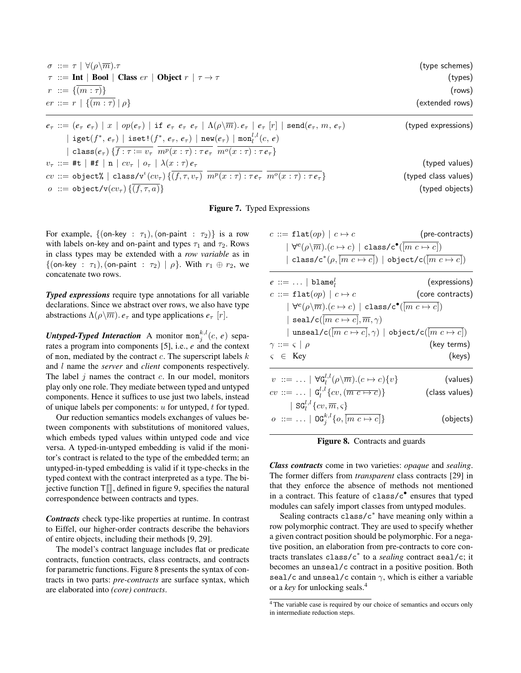$$
\begin{array}{ll}\n\sigma & ::= \tau \mid \forall (\rho \backslash \overline{m}).\tau \\
\tau & ::= \mathbf{Int} \mid \mathbf{Bool} \mid \mathbf{Class} \text{ } er \mid \mathbf{Object} \text{ } r \mid \tau \to \tau\n\end{array}\n\tag{type schemes}\n\begin{array}{ll}\n\tau & ::= \mathbf{Int} \mid \mathbf{Bool} \mid \mathbf{Class} \text{ } er \mid \mathbf{Object} \text{ } r \mid \tau \to \tau\n\end{array}\n\tag{types}\n\begin{array}{ll}\n\text{(rows)} \\
\text{(extended rows)} \\
\text{(extended rows)} \\
\end{array}
$$

$$
e_{\tau} ::= (e_{\tau} e_{\tau}) | x | op(e_{\tau}) | \text{if } e_{\tau} e_{\tau} e_{\tau} | \Lambda(\rho \backslash \overline{m}). e_{\tau} | e_{\tau} [r] | send(e_{\tau}, m, e_{\tau}) \qquad \text{(typed expressions)}
$$
\n
$$
| iget(f^*, e_{\tau}) | iset!(f^*, e_{\tau}, e_{\tau}) | new(e_{\tau}) | mon1,1l(c, e)
$$
\n
$$
| class(e_{\tau}) \{ f : \tau := v_{\tau} m^p(x : \tau) : \tau e_{\tau} m^o(x : \tau) : \tau e_{\tau} \}
$$
\n
$$
v_{\tau} ::= \text{#t} | \text{#f} | n | cv_{\tau} | o_{\tau} | \lambda(x : \tau) e_{\tau}
$$
\n
$$
cv ::= object \text{class}/v^l(cv_{\tau}) \{ f, \tau, v_{\tau} \} m^p(x : \tau) : \tau e_{\tau} m^o(x : \tau) : \tau e_{\tau} \}
$$
\n
$$
v ::= object/v(cv_{\tau}) \{ f, \tau, a \} \qquad \text{(typed classes)}
$$
\n
$$
o ::= object/v(cv_{\tau}) \{ f, \tau, a \} \qquad \text{(typed objects)}
$$

## <span id="page-7-0"></span>Figure 7. Typed Expressions

For example,  $\{(\text{on-key}: \tau_1), (\text{on-paint}: \tau_2)\}\$ is a row with labels on-key and on-paint and types  $\tau_1$  and  $\tau_2$ . Rows in class types may be extended with a *row variable* as in  $\{(\text{on-key}: \tau_1), (\text{on-point}: \tau_2) \mid \rho\}$ . With  $r_1 \oplus r_2$ , we concatenate two rows.

*Typed expressions* require type annotations for all variable declarations. Since we abstract over rows, we also have type abstractions  $\Lambda(\rho\backslash\overline{m})$ .  $e_{\tau}$  and type applications  $e_{\tau}$  [r].

*Untyped-Typed Interaction* A monitor  $\text{mon}_{j}^{k,l}(c, e)$  separates a program into components [\[5\]](#page-16-3), i.e., *e* and the context of mon, mediated by the contract  $c$ . The superscript labels  $k$ and l name the *server* and *client* components respectively. The label  $j$  names the contract  $c$ . In our model, monitors play only one role. They mediate between typed and untyped components. Hence it suffices to use just two labels, instead of unique labels per components:  $u$  for untyped,  $t$  for typed.

Our reduction semantics models exchanges of values between components with substitutions of monitored values, which embeds typed values within untyped code and vice versa. A typed-in-untyped embedding is valid if the monitor's contract is related to the type of the embedded term; an untyped-in-typed embedding is valid if it type-checks in the typed context with the contract interpreted as a type. The bijective function  $T[\mathbb{I}]$ , defined in figure [9,](#page-8-0) specifies the natural correspondence between contracts and types.

*Contracts* check type-like properties at runtime. In contrast to Eiffel, our higher-order contracts describe the behaviors of entire objects, including their methods [\[9,](#page-16-1) [29\]](#page-17-18).

The model's contract language includes flat or predicate contracts, function contracts, class contracts, and contracts for parametric functions. Figure [8](#page-7-1) presents the syntax of contracts in two parts: *pre-contracts* are surface syntax, which are elaborated into *(core) contracts*.

| $c ::= \texttt{flat}(op) \mid c \mapsto c$                                                        | (pre-contracts) |
|---------------------------------------------------------------------------------------------------|-----------------|
| $ \forall^c(\rho\backslash\overline{m}).(c\mapsto c) $ class/c <sup>o</sup> ( $[m\ c\mapsto c]$ ) |                 |
| class/c <sup>*</sup> ( $\rho$ , $[m\ c \mapsto c]$ )   object/c( $[m\ c \mapsto c]$ )             |                 |
|                                                                                                   |                 |

| $e ::= \ldots   \text{blame}_l^l$                                                               | (expressions)    |
|-------------------------------------------------------------------------------------------------|------------------|
| $c ::= \texttt{flat}(op) \mid c \mapsto c$                                                      | (core contracts) |
| $ \forall^c(\rho\backslash\overline{m}).(c\mapsto c) $ class/c $^{\bullet}([m\ c\mapsto c])$    |                  |
| seal/c( $[m\;c \mapsto c], \overline{m}, \gamma$ )                                              |                  |
| unseal/c( $[m\ c \mapsto c], \gamma)$   object/c( $[m\ c \mapsto c])$                           |                  |
| $\gamma ::= \varsigma \mid \rho$                                                                | (key terms)      |
| $\varsigma \in \text{Key}$                                                                      | (keys)           |
| $v := \ldots \mid \forall \mathsf{G}_l^{l,l}(\rho \backslash \overline{m}).(c \mapsto c) \{v\}$ | (values)         |
| $cv ::= \ldots   \mathbf{G}_l^{l,l} \{ cv, (\overline{m} \ c \mapsto c) \}$                     | (class values)   |
| $\{S G_l^{l,l}\{cv, \overline{m}, \varsigma\}\}$                                                |                  |
| $o \ ::= \dots \   \ \mathsf{OG}_i^{k,l} \{ o, \overline{[m \ c \mapsto c]}\}\$                 | (objects)        |

<span id="page-7-1"></span>

*Class contracts* come in two varieties: *opaque* and *sealing*. The former differs from *transparent* class contracts [\[29\]](#page-17-18) in that they enforce the absence of methods not mentioned in a contract. This feature of  $\text{class}/c^{\bullet}$  ensures that typed modules can safely import classes from untyped modules.

Sealing contracts  $\c{class}/c^*$  have meaning only within a row polymorphic contract. They are used to specify whether a given contract position should be polymorphic. For a negative position, an elaboration from pre-contracts to core contracts translates class/c<sup>∗</sup> to a *sealing* contract seal/c; it becomes an unseal/c contract in a positive position. Both seal/c and unseal/c contain  $\gamma$ , which is either a variable or a *key* for unlocking seals.<sup>4</sup>

<sup>&</sup>lt;sup>4</sup>The variable case is required by our choice of semantics and occurs only in intermediate reduction steps.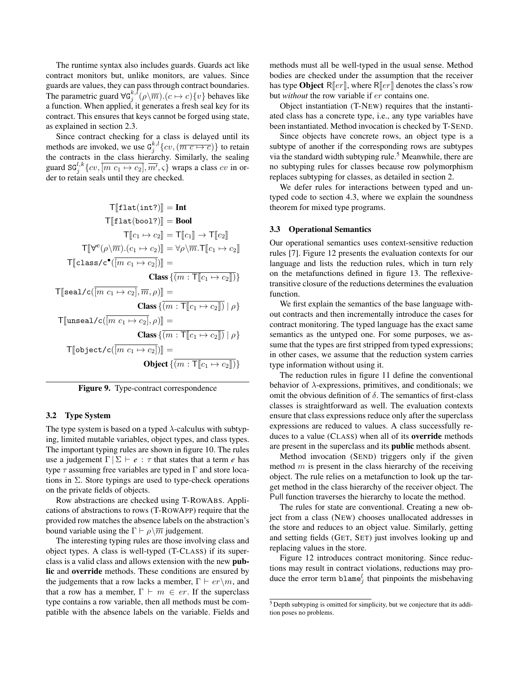The runtime syntax also includes guards. Guards act like contract monitors but, unlike monitors, are values. Since guards are values, they can pass through contract boundaries. The parametric guard  $\forall G_j^{k,l}(\rho\backslash\overline{m}).(c\mapsto c)\{v\}$  behaves like a function. When applied, it generates a fresh seal key for its contract. This ensures that keys cannot be forged using state, as explained in section [2.3.](#page-3-1)

Since contract checking for a class is delayed until its methods are invoked, we use  $G_j^{k,l}\lbrace cv, (\overline{m \ c \mapsto c})\rbrace$  to retain the contracts in the class hierarchy. Similarly, the sealing guard  $\mathbf{SG}_{j}^{l,k}\{cv, \overline{[m \ c_1 \mapsto c_2]}, \overline{m'}, \varsigma\}$  wraps a class  $cv$  in order to retain seals until they are checked.

$$
\mathsf{T}[\texttt{flat(int?)}] = \textbf{Int}
$$
\n
$$
\mathsf{T}[\texttt{flat}(bool?)] = \textbf{Bool}
$$
\n
$$
\mathsf{T}[c_1 \mapsto c_2] = \mathsf{T}[c_1] \rightarrow \mathsf{T}[c_2]
$$
\n
$$
\mathsf{T}[\nabla^c(\rho \backslash \overline{m}).(c_1 \mapsto c_2)] = \forall \rho \backslash \overline{m}.\mathsf{T}[c_1 \mapsto c_2]
$$
\n
$$
\mathsf{T}[class/c^{\bullet}([\overline{m} c_1 \mapsto c_2])] =
$$
\n
$$
\text{Class}\{ \overline{(m : \mathsf{T}[c_1 \mapsto c_2])} \}
$$
\n
$$
\mathsf{T}[seal/c([\overline{m} c_1 \mapsto c_2], \overline{m}, \rho)] =
$$
\n
$$
\text{Class}\{ (m : \mathsf{T}[c_1 \mapsto c_2]) \mid \rho \}
$$
\n
$$
\mathsf{T}[\text{unscal/c}([\overline{m} c_1 \mapsto c_2], \rho)] =
$$
\n
$$
\text{Class}\{ (\overline{m} : \mathsf{T}[c_1 \mapsto c_2]) \mid \rho \}
$$
\n
$$
\mathsf{T}[object/c([\overline{m} c_1 \mapsto c_2])]] =
$$
\n
$$
\text{Object}\{ \overline{(m : \mathsf{T}[c_1 \mapsto c_2])} \}
$$

<span id="page-8-0"></span>

#### 3.2 Type System

The type system is based on a typed  $\lambda$ -calculus with subtyping, limited mutable variables, object types, and class types. The important typing rules are shown in figure [10.](#page-9-0) The rules use a judgement  $\Gamma | \Sigma \vdash e : \tau$  that states that a term *e* has type  $\tau$  assuming free variables are typed in  $\Gamma$  and store locations in  $\Sigma$ . Store typings are used to type-check operations on the private fields of objects.

Row abstractions are checked using T-ROWABS. Applications of abstractions to rows (T-ROWAPP) require that the provided row matches the absence labels on the abstraction's bound variable using the  $\Gamma \vdash \rho \backslash \overline{m}$  judgement.

The interesting typing rules are those involving class and object types. A class is well-typed (T-CLASS) if its superclass is a valid class and allows extension with the new public and override methods. These conditions are ensured by the judgements that a row lacks a member,  $\Gamma \vdash er\$  m, and that a row has a member,  $\Gamma \vdash m \in er$ . If the superclass type contains a row variable, then all methods must be compatible with the absence labels on the variable. Fields and

methods must all be well-typed in the usual sense. Method bodies are checked under the assumption that the receiver has type **Object**  $R[[er]]$ , where  $R[[er]]$  denotes the class's row but *without* the row variable if er contains one.

Object instantiation (T-NEW) requires that the instantiated class has a concrete type, i.e., any type variables have been instantiated. Method invocation is checked by T-SEND.

Since objects have concrete rows, an object type is a subtype of another if the corresponding rows are subtypes via the standard width subtyping rule.<sup>5</sup> Meanwhile, there are no subtyping rules for classes because row polymorphism replaces subtyping for classes, as detailed in section [2.](#page-1-0)

We defer rules for interactions between typed and untyped code to section [4.3,](#page-14-0) where we explain the soundness theorem for mixed type programs.

#### 3.3 Operational Semantics

Our operational semantics uses context-sensitive reduction rules [\[7\]](#page-16-4). Figure [12](#page-11-0) presents the evaluation contexts for our language and lists the reduction rules, which in turn rely on the metafunctions defined in figure [13.](#page-12-1) The reflexivetransitive closure of the reductions determines the evaluation function.

We first explain the semantics of the base language without contracts and then incrementally introduce the cases for contract monitoring. The typed language has the exact same semantics as the untyped one. For some purposes, we assume that the types are first stripped from typed expressions; in other cases, we assume that the reduction system carries type information without using it.

The reduction rules in figure [11](#page-9-1) define the conventional behavior of  $\lambda$ -expressions, primitives, and conditionals; we omit the obvious definition of  $\delta$ . The semantics of first-class classes is straightforward as well. The evaluation contexts ensure that class expressions reduce only after the superclass expressions are reduced to values. A class successfully reduces to a value (CLASS) when all of its override methods are present in the superclass and its public methods absent.

Method invocation (SEND) triggers only if the given method  $m$  is present in the class hierarchy of the receiving object. The rule relies on a metafunction to look up the target method in the class hierarchy of the receiver object. The Pull function traverses the hierarchy to locate the method.

The rules for state are conventional. Creating a new object from a class (NEW) chooses unallocated addresses in the store and reduces to an object value. Similarly, getting and setting fields (GET, SET) just involves looking up and replacing values in the store.

Figure [12](#page-11-0) introduces contract monitoring. Since reductions may result in contract violations, reductions may produce the error term blame<sup>l</sup><sub>j</sub> that pinpoints the misbehaving

<sup>5</sup> Depth subtyping is omitted for simplicity, but we conjecture that its addition poses no problems.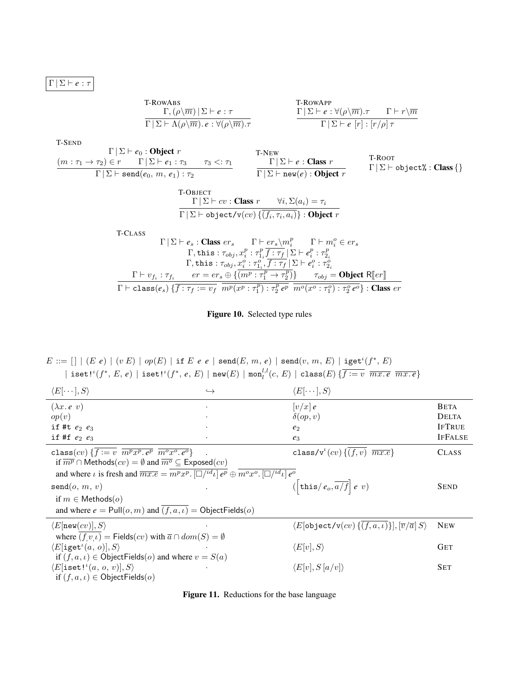$$
\frac{\Gamma\text{-RowAbs}}{\Gamma\,|\,\Sigma\,\vdash\,\Lambda(\rho\,\backslash\overline{m})\,|\,\Sigma\,\vdash\,e\,:\,\tau}{\Gamma\,|\,\Sigma\,\vdash\,\Lambda(\rho\,\backslash\overline{m})\,.\,e\,:\,\forall(\rho\,\backslash\overline{m})\,.\tau}\qquad \qquad \frac{\Gamma\,|\,\Sigma\,\vdash\,e\,:\,\forall(\rho\,\backslash\overline{m})\,.\,\tau\qquad\Gamma\,\vdash\,r\,\backslash\overline{m}}{\Gamma\,|\,\Sigma\,\vdash\,e\,\,[r]\,:\,[r\,/\rho\,]\,\tau}
$$

T-SEND

$$
\frac{\Gamma|\Sigma\vdash e_0:\text{Object }r}{\Gamma|\Sigma\vdash \text{send}(e_0, m, e_1):\tau_2} \qquad \qquad \frac{\Gamma|\Sigma\vdash e:\text{Class }r}{\Gamma|\Sigma\vdash \text{send}(e_0, m, e_1):\tau_2} \qquad \qquad \frac{\Gamma|\Sigma\vdash e:\text{Class }r}{\Gamma|\Sigma\vdash \text{new}(e):\text{Object }r} \qquad \qquad \frac{\Gamma|\Sigma\vdash \text{object}\%:\text{Class }\{\}}{\Gamma|\Sigma\vdash cv:\text{Class }r \qquad \forall i,\Sigma(a_i)=\tau_i}
$$

T-CLASS

$$
\Gamma | \Sigma \vdash e_s : \textbf{Class}\,\, er_s \qquad \Gamma \vdash er_s \backslash m_i^p \qquad \Gamma \vdash m_i^o \in er_s
$$
\n
$$
\Gamma, \text{this}: \tau_{obj}, x_i^p : \tau_{1_i}^p \overline{f : \tau_f} | \Sigma \vdash e_i^p : \tau_{2_i}^p
$$
\n
$$
\Gamma, \text{this}: \tau_{obj}, x_i^o : \tau_{1_i}^o, \overline{f : \tau_f} | \Sigma \vdash e_i^o : \tau_{2_i}^o
$$
\n
$$
\Gamma \vdash v_{f_i} : \tau_{f_i} \qquad er = er_s \oplus \{ (m^p : \tau_1^p \to \tau_2^p) \} \qquad \tau_{obj} = \textbf{Object }\, \mathbb{R}[\![er]\!]
$$
\n
$$
\Gamma \vdash \textbf{class}(e_s) \{ \overline{f : \tau_f := v_f} \overline{m^p(x^p : \tau_1^p) : \tau_2^p e^p} \overline{m^o(x^o : \tau_1^o) : \tau_2^o e^o} \} : \textbf{Class}\,\,er
$$

<span id="page-9-0"></span>

$$
E ::= [] \mid (E \ e) \mid (v \ E) \mid op(E) \mid \text{if} \ E \ e \ e \mid \texttt{send}(E, \ m, \ e) \mid \texttt{send}(v, \ m, \ E) \mid \texttt{iget}^{\iota}(f^{*}, \ E) \\ \mid \texttt{iset}!^{\iota}(f^{*}, \ E, \ e) \mid \texttt{iset}!^{\iota}(f^{*}, \ e, \ E) \mid \texttt{new}(E) \mid \texttt{mon}_{l}^{l,l}(c, \ E) \mid \texttt{class}(E) \left\{ \overline{f := v} \ \overline{mx . e} \ \overline{mx . e} \right\}
$$

| $\langle E[\cdots],S\rangle$                                                                                                      | $\hookrightarrow$ | $\langle E[\cdots],S\rangle$                                                         |                |
|-----------------------------------------------------------------------------------------------------------------------------------|-------------------|--------------------------------------------------------------------------------------|----------------|
| $(\lambda x. e \ v)$                                                                                                              | $\bullet$         | $[v/x]$ e                                                                            | <b>BETA</b>    |
| op(v)                                                                                                                             |                   | $\delta(op, v)$                                                                      | <b>DELTA</b>   |
| if #t $e_2$ $e_3$                                                                                                                 | $\bullet$         | $e_2$                                                                                | <b>IFTRUE</b>  |
| if #f $e_2$ $e_3$                                                                                                                 | $\bullet$         | $e_3$                                                                                | <b>IFFALSE</b> |
| class(cv) $\{\overline{f} := v \ \overline{m^p x^p \cdot e^p} \ \overline{m^o x^o \cdot e^o}\}$                                   |                   | class/ $v^{t}(cv)\{(f,v)\ \overline{mx.e}\}$                                         | <b>CLASS</b>   |
| if $\overline{m^p} \cap$ Methods $(cv) = \emptyset$ and $\overline{m^o} \subseteq$ Exposed $(cv)$                                 |                   |                                                                                      |                |
| and where $\iota$ is fresh and $\overline{mx.e} = m^p x^p$ . $[\Box / id_{\iota}] e^p \oplus m^o x^o$ . $[\Box / id_{\iota}] e^o$ |                   |                                                                                      |                |
| send(o, m, v)                                                                                                                     |                   | $( \text{this}/e_o,\overline{a/f} e)$                                                | <b>SEND</b>    |
| if $m \in$ Methods $(o)$                                                                                                          |                   |                                                                                      |                |
| and where $e = \text{Pull}(o, m)$ and $(f, a, \iota) = \text{ObjectFields}(o)$                                                    |                   |                                                                                      |                |
| $\langle E[\texttt{new}(cv)], S \rangle$                                                                                          |                   | $\langle E[\texttt{object/v}(cv)\{(f,a,\iota)\}],[\overline{v}/\overline{a}]\rangle$ | <b>NEW</b>     |
| where $(f, v, \iota)$ = Fields $(cv)$ with $\overline{a} \cap dom(S) = \emptyset$                                                 |                   |                                                                                      |                |
| $\langle E[\texttt{iget}^t(a, o)], S \rangle$                                                                                     |                   | $\langle E[v], S \rangle$                                                            | <b>GET</b>     |
| if $(f, a, \iota) \in$ Object Fields $(o)$ and where $v = S(a)$                                                                   |                   |                                                                                      |                |
| $\langle E[{\tt iset!}^{\iota}(a, o, v)], S \rangle$                                                                              |                   | $\langle E[v], S[a/v] \rangle$                                                       | <b>SET</b>     |
| if $(f, a, \iota) \in$ Object Fields $(o)$                                                                                        |                   |                                                                                      |                |

<span id="page-9-1"></span>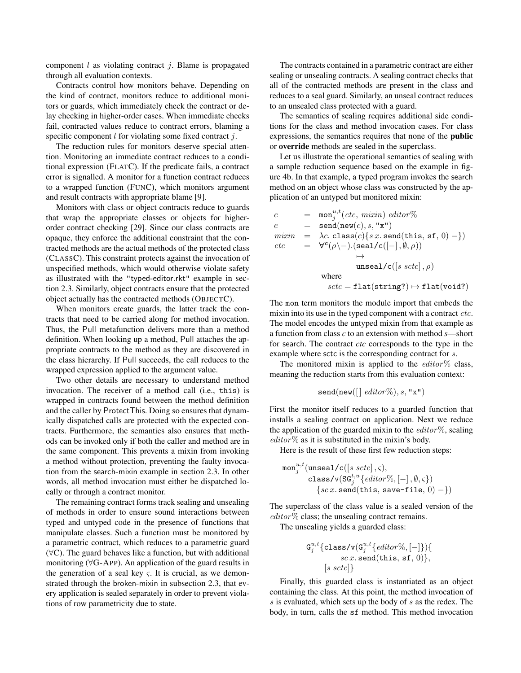component  $l$  as violating contract  $j$ . Blame is propagated through all evaluation contexts.

Contracts control how monitors behave. Depending on the kind of contract, monitors reduce to additional monitors or guards, which immediately check the contract or delay checking in higher-order cases. When immediate checks fail, contracted values reduce to contract errors, blaming a specific component  $l$  for violating some fixed contract  $j$ .

The reduction rules for monitors deserve special attention. Monitoring an immediate contract reduces to a conditional expression (FLATC). If the predicate fails, a contract error is signalled. A monitor for a function contract reduces to a wrapped function (FUNC), which monitors argument and result contracts with appropriate blame [\[9\]](#page-16-1).

Monitors with class or object contracts reduce to guards that wrap the appropriate classes or objects for higherorder contract checking [\[29\]](#page-17-18). Since our class contracts are opaque, they enforce the additional constraint that the contracted methods are the actual methods of the protected class (CLASSC). This constraint protects against the invocation of unspecified methods, which would otherwise violate safety as illustrated with the "typed-editor.rkt" example in section [2.3.](#page-3-1) Similarly, object contracts ensure that the protected object actually has the contracted methods (OBJECTC).

When monitors create guards, the latter track the contracts that need to be carried along for method invocation. Thus, the Pull metafunction delivers more than a method definition. When looking up a method, Pull attaches the appropriate contracts to the method as they are discovered in the class hierarchy. If Pull succeeds, the call reduces to the wrapped expression applied to the argument value.

Two other details are necessary to understand method invocation. The receiver of a method call (i.e., this) is wrapped in contracts found between the method definition and the caller by ProtectThis. Doing so ensures that dynamically dispatched calls are protected with the expected contracts. Furthermore, the semantics also ensures that methods can be invoked only if both the caller and method are in the same component. This prevents a mixin from invoking a method without protection, preventing the faulty invocation from the search-mixin example in section [2.3.](#page-3-1) In other words, all method invocation must either be dispatched locally or through a contract monitor.

The remaining contract forms track sealing and unsealing of methods in order to ensure sound interactions between typed and untyped code in the presence of functions that manipulate classes. Such a function must be monitored by a parametric contract, which reduces to a parametric guard (∀C). The guard behaves like a function, but with additional monitoring (∀G-APP). An application of the guard results in the generation of a seal key  $\zeta$ . It is crucial, as we demonstrated through the broken-mixin in subsection [2.3,](#page-3-1) that every application is sealed separately in order to prevent violations of row parametricity due to state.

The contracts contained in a parametric contract are either sealing or unsealing contracts. A sealing contract checks that all of the contracted methods are present in the class and reduces to a seal guard. Similarly, an unseal contract reduces to an unsealed class protected with a guard.

The semantics of sealing requires additional side conditions for the class and method invocation cases. For class expressions, the semantics requires that none of the public or override methods are sealed in the superclass.

Let us illustrate the operational semantics of sealing with a sample reduction sequence based on the example in figure [4b.](#page-5-1) In that example, a typed program invokes the search method on an object whose class was constructed by the application of an untyped but monitored mixin:

$$
c = \text{mon}_{j}^{u,t}(ctc, \text{mixin}) \cdot editor\%
$$
\n
$$
e = \text{send}(\text{new}(c), s, "x")
$$
\n
$$
\begin{aligned}\n\text{mixin} &= \lambda c. \text{class}(c) \{s \, x. \text{send}(\text{this}, \text{sf}, 0) - \}) \\
\text{ctc} &= \forall^c(\rho \setminus -).(\text{seal/c}([-], \emptyset, \rho)) \\
&\mapsto \\
&\text{unseal/c}([s \text{ sctc}], \rho) \\
&\text{where} \\
& sctc = \text{flat}(\text{string?}) \mapsto \text{flat}(\text{void?})\n\end{aligned}
$$

The mon term monitors the module import that embeds the mixin into its use in the typed component with a contract ctc. The model encodes the untyped mixin from that example as a function from class *c* to an extension with method *s*—short for search. The contract *ctc* corresponds to the type in the example where sctc is the corresponding contract for s.

The monitored mixin is applied to the  $editor\%$  class, meaning the reduction starts from this evaluation context:

$$
\mathtt{send}(\mathtt{new}(\texttt{[] }editor\%), s, "x")
$$

First the monitor itself reduces to a guarded function that installs a sealing contract on application. Next we reduce the application of the guarded mixin to the  $editor\%$ , sealing  $editor\%$  as it is substituted in the mixin's body.

Here is the result of these first few reduction steps:

$$
\begin{matrix}\texttt{mon}^{u,t}_j(\texttt{unseal/c}([s\;stcl\; , \varsigma),\\ \texttt{class/v}(\texttt{SG}^{t,u}_j\{\mathit{editor}\%, [-], \emptyset, \varsigma\})\\ \{sc\,x.\;\texttt{send}(\texttt{this},\;\texttt{save-file},\;0) -\})\end{matrix}
$$

The superclass of the class value is a sealed version of the  $editor\%$  class; the unsealing contract remains.

The unsealing yields a guarded class:

$$
\mathtt{G}_{j}^{u,t}\{\texttt{class/v}(\mathtt{G}_{j}^{u,t}\{\textit{editor}\%,[-]\})\{\\sc\,x.\,\texttt{send}(\texttt{this},\,\texttt{sf},\,0)\},\\[s\,\textit{sctc}]\}
$$

Finally, this guarded class is instantiated as an object containing the class. At this point, the method invocation of  $s$  is evaluated, which sets up the body of  $s$  as the redex. The body, in turn, calls the sf method. This method invocation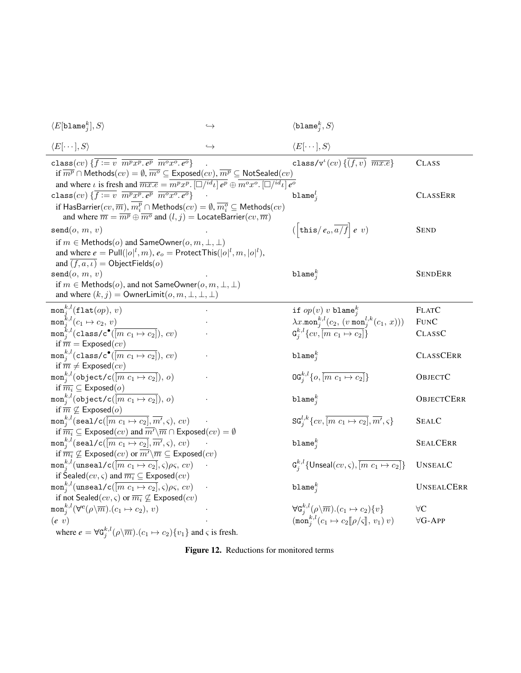| $\langle E[\texttt{blame}_i^k], S \rangle$                                                                                                                | $\hookrightarrow$ | $\langle \texttt{blame}_j^k, S \rangle$                                                                          |                   |
|-----------------------------------------------------------------------------------------------------------------------------------------------------------|-------------------|------------------------------------------------------------------------------------------------------------------|-------------------|
| $\langle E[\cdots],S\rangle$                                                                                                                              | $\hookrightarrow$ | $\langle E[\cdots],S\rangle$                                                                                     |                   |
| class(cv) $\{\overline{f} := v \ \overline{m^p x^p \cdot e^p} \ \overline{m^o x^o \cdot e^o}\}$                                                           |                   | class/ $v^{\iota}(cv)\{\overline{(f,v)}\ \overline{mx.e}\}$                                                      | CLASS             |
| if $\overline{m^p} \cap$ Methods $(cv) = \emptyset$ , $\overline{m^o} \subseteq$ Exposed $(cv)$ , $\overline{m^p} \subseteq$ NotSealed $(cv)$             |                   |                                                                                                                  |                   |
| and where $\iota$ is fresh and $\overline{mx.e} = m^p x^p$ . $\left[\Box / ^{id} \iota\right] e^p \oplus m^o x^o$ . $\left[\Box / ^{id} \iota\right] e^o$ |                   |                                                                                                                  |                   |
| class(cv) $\{\overline{f} := v \ \overline{m^p x^p \cdot e^p} \ \overline{m^o x^o \cdot e^o}\}$                                                           |                   | blame $i$                                                                                                        | <b>CLASSERR</b>   |
| if HasBarrier $(cv, \overline{m})$ , $m_i^p \cap$ Methods $(cv) = \emptyset$ , $\overline{m_i^o} \subseteq$ Methods $(cv)$                                |                   |                                                                                                                  |                   |
| and where $\overline{m} = \overline{m^p} \oplus \overline{m^o}$ and $(l, j) =$ LocateBarrier $(cv, \overline{m})$                                         |                   |                                                                                                                  |                   |
| send(o, m, v)                                                                                                                                             |                   | $\left(\left \text{this}/e_o,\overline{a/f}\right e v\right)$                                                    | <b>SEND</b>       |
| if $m \in$ Methods( <i>o</i> ) and SameOwner( $o, m, \perp, \perp$ )                                                                                      |                   |                                                                                                                  |                   |
| and where $e = \text{Pull}( o ^l, m)$ , $e_o = \text{ProtectThis}( o ^l, m,  o ^l)$ ,                                                                     |                   |                                                                                                                  |                   |
| and $(f, a, \iota)$ = ObjectFields( $o$ )                                                                                                                 |                   |                                                                                                                  |                   |
| send(o, m, v)                                                                                                                                             |                   | blame $_i^k$                                                                                                     | <b>SENDERR</b>    |
| if $m \in$ Methods( <i>o</i> ), and not SameOwner( $o, m, \perp, \perp$ )                                                                                 |                   |                                                                                                                  |                   |
| and where $(k, j) =$ OwnerLimit $(o, m, \perp, \perp, \perp)$                                                                                             |                   |                                                                                                                  |                   |
| $\text{mon}_i^{k,l}(\texttt{flat}(op), v)$                                                                                                                |                   | if $op(v)$ v blame $_i^k$                                                                                        | <b>FLATC</b>      |
| $\text{mon}_i^{k,l}(c_1 \mapsto c_2, v)$                                                                                                                  |                   |                                                                                                                  | <b>FUNC</b>       |
| $\text{mon}_j^{k,l}(\text{class}/c^\bullet(\overline{[m \ c_1 \mapsto c_2]}),\, cv)$                                                                      |                   | $\lambda x.\text{mon}_j^{k,l}(c_2, (v \text{ mon}_j^{l,k}(c_1, x)))$<br>$G_j^{k,l}\{cv, [m \ c_1 \mapsto c_2]\}$ | CLASSC            |
| if $\overline{m}$ = Exposed $(cv)$                                                                                                                        |                   |                                                                                                                  |                   |
| $\text{mon}^{k,l}_j(\texttt{class/c}^{\bullet}(\overline{[m \ c_1 \mapsto c_2]}),\, cv)$                                                                  |                   | blame $_i^k$                                                                                                     | <b>CLASSCERR</b>  |
| if $\overline{m} \neq$ Exposed $(cv)$                                                                                                                     |                   |                                                                                                                  |                   |
| $\text{\tt mon}_j^{k,l}({\tt object}/ {\mathtt c}(\overline{[m \ c_1\mapsto c_2]}),\, o)$                                                                 |                   | $\log_i^{k,l} \{o, \overline{m c_1 \mapsto c_2}\}$                                                               | ОвјестС           |
| if $\overline{\overline{m_i}} \subseteq$ Exposed $(o)$                                                                                                    |                   |                                                                                                                  |                   |
| $\texttt{mon}^{k,l}_j(\texttt{object/c}(\overline{[m\ c_1\mapsto c_2]}),\, o)$                                                                            |                   | blame $_i^k$                                                                                                     | OBJECTCERR        |
| if $\overline{m} \nsubseteq$ Exposed( <i>o</i> )                                                                                                          |                   |                                                                                                                  |                   |
| $\texttt{mon}^{k,l}_j(\texttt{seal/c}(\overline{[m\ c_1\mapsto c_2]}, \overline{m'}, \varsigma),\ cv)$                                                    |                   | $SG_j^{l,k}\{cv,\overline{[m\;c_1\mapsto c_2]},\overline{m'},\varsigma\}$                                        | <b>SEALC</b>      |
| if $\overline{m_i} \subseteq \text{Exposed}(cv)$ and $\overline{m'}\backslash \overline{m} \cap \text{Exposed}(cv) = \emptyset$                           |                   |                                                                                                                  |                   |
| $\texttt{mon}_i^{k,l}(\texttt{seal/c}(\overline{[m \; c_1 \mapsto c_2]}, \overline{m'}, \varsigma), \, cv)$                                               |                   | blame $_i^k$                                                                                                     | <b>SEALCERR</b>   |
| if $\overline{m_i} \nsubseteq$ Exposed $(cv)$ or $\overline{m'}\backslash \overline{m} \subseteq$ Exposed $(cv)$                                          |                   |                                                                                                                  |                   |
| $\texttt{mon}^{k,l}_i(\texttt{unscal/c}(\overline{[m \; c_1 \mapsto c_2]}, \varsigma)\rho\varsigma, \; cv)$                                               |                   | $\mathbf{G}_{i}^{k,l}$ {Unseal $(cv,\varsigma),$ $\overline{[m\ c_1\mapsto c_2]}$ }                              | <b>UNSEALC</b>    |
| if Sealed $(cv, \varsigma)$ and $\overline{m_i} \subseteq$ Exposed $(cv)$                                                                                 |                   |                                                                                                                  |                   |
| $\texttt{mon}^{\kappa,\ell}_j(\texttt{unseal/c}([m\ c_1 \mapsto c_2],\varsigma)\rho\varsigma,\ cv)$                                                       |                   | blame $_i^k$                                                                                                     | <b>UNSEALCERR</b> |
| if not Sealed $(cv, \varsigma)$ or $\overline{m_i} \nsubseteq$ Exposed $(cv)$                                                                             |                   |                                                                                                                  |                   |
| $\text{mon}_i^{k,l}(\forall^c(\rho\backslash\overline{m}).(c_1\mapsto c_2), v)$                                                                           |                   | $\forall G_i^{k,l}(\rho\backslash\overline{m}).(c_1\mapsto c_2)\{v\}$                                            | $\forall C$       |
| $(e\ v)$                                                                                                                                                  |                   | $(\text{mon}_i^{k,l}(c_1 \mapsto c_2 \llbracket \rho / \varsigma \rrbracket, v_1) v)$                            | $\forall G$ -APP  |
| where $e = \forall G_j^{k,l}(\rho \backslash \overline{m}).(c_1 \mapsto c_2) \{v_1\}$ and $\varsigma$ is fresh.                                           |                   |                                                                                                                  |                   |

# <span id="page-11-0"></span>Figure 12. Reductions for monitored terms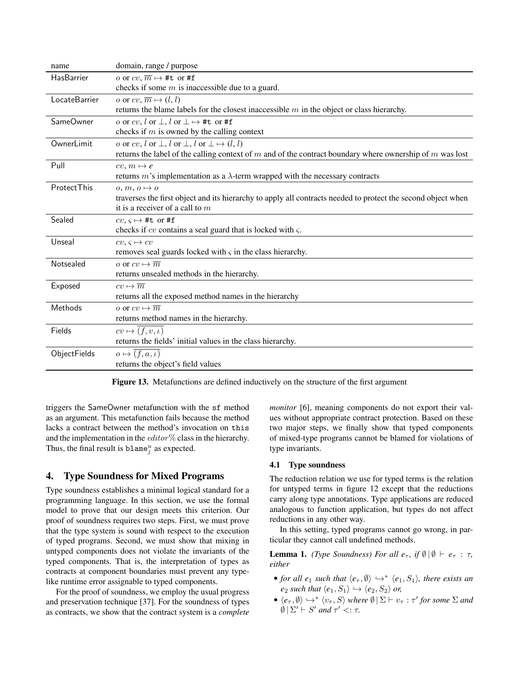| name                | domain, range / purpose                                                                                      |
|---------------------|--------------------------------------------------------------------------------------------------------------|
| HasBarrier          | o or cv, $\overline{m} \mapsto #t$ or #f                                                                     |
|                     | checks if some $m$ is inaccessible due to a guard.                                                           |
| LocateBarrier       | o or cv, $\overline{m} \mapsto (l, l)$                                                                       |
|                     | returns the blame labels for the closest inaccessible $m$ in the object or class hierarchy.                  |
| SameOwner           | o or cv, l or $\perp$ , l or $\perp \mapsto #t$ or #f                                                        |
|                     | checks if $m$ is owned by the calling context                                                                |
| OwnerLimit          | <i>o</i> or <i>cv</i> , <i>l</i> or $\perp$ , <i>l</i> or $\perp$ , <i>l</i> or $\perp \mapsto (l, l)$       |
|                     | returns the label of the calling context of m and of the contract boundary where ownership of m was lost     |
| Pull                | $cv, m \mapsto e$                                                                                            |
|                     | returns $m$ 's implementation as a $\lambda$ -term wrapped with the necessary contracts                      |
| <b>Protect This</b> | $o, m, o \mapsto o$                                                                                          |
|                     | traverses the first object and its hierarchy to apply all contracts needed to protect the second object when |
|                     | it is a receiver of a call to $m$                                                                            |
| Sealed              | $cv, \varsigma \mapsto #t$ or #f                                                                             |
|                     | checks if $cv$ contains a seal guard that is locked with $\varsigma$ .                                       |
| Unseal              | $cv, \varsigma \mapsto cv$                                                                                   |
|                     | removes seal guards locked with $\varsigma$ in the class hierarchy.                                          |
| Notsealed           | o or $cv \mapsto \overline{m}$                                                                               |
|                     | returns unsealed methods in the hierarchy.                                                                   |
| Exposed             | $cv \mapsto \overline{m}$                                                                                    |
|                     | returns all the exposed method names in the hierarchy                                                        |
| Methods             | o or $cv \mapsto \overline{m}$                                                                               |
|                     | returns method names in the hierarchy.                                                                       |
| Fields              | $cv \mapsto (f, v, \iota)$                                                                                   |
|                     | returns the fields' initial values in the class hierarchy.                                                   |
| ObjectFields        | $o \mapsto (f, a, \iota)$                                                                                    |
|                     | returns the object's field values                                                                            |

<span id="page-12-1"></span>Figure 13. Metafunctions are defined inductively on the structure of the first argument

triggers the SameOwner metafunction with the sf method as an argument. This metafunction fails because the method lacks a contract between the method's invocation on this and the implementation in the  $editor\%$  class in the hierarchy. Thus, the final result is blame<sub>y</sub> as expected.

# <span id="page-12-0"></span>4. Type Soundness for Mixed Programs

Type soundness establishes a minimal logical standard for a programming language. In this section, we use the formal model to prove that our design meets this criterion. Our proof of soundness requires two steps. First, we must prove that the type system is sound with respect to the execution of typed programs. Second, we must show that mixing in untyped components does not violate the invariants of the typed components. That is, the interpretation of types as contracts at component boundaries must prevent any typelike runtime error assignable to typed components.

For the proof of soundness, we employ the usual progress and preservation technique [\[37\]](#page-17-19). For the soundness of types as contracts, we show that the contract system is a *complete*

*monitor* [\[6\]](#page-16-5), meaning components do not export their values without appropriate contract protection. Based on these two major steps, we finally show that typed components of mixed-type programs cannot be blamed for violations of type invariants.

### 4.1 Type soundness

The reduction relation we use for typed terms is the relation for untyped terms in figure [12](#page-11-0) except that the reductions carry along type annotations. Type applications are reduced analogous to function application, but types do not affect reductions in any other way.

In this setting, typed programs cannot go wrong, in particular they cannot call undefined methods.

**Lemma 1.** *(Type Soundness) For all*  $e_{\tau}$ *, if*  $\emptyset | \emptyset \vdash e_{\tau} : \tau$ *, either*

- *for all e*<sub>1</sub> *such that*  $\langle e_{\tau}, \emptyset \rangle \hookrightarrow^* \langle e_1, S_1 \rangle$ , there exists an *e*<sub>2</sub> *such that*  $\langle e_1, S_1 \rangle \hookrightarrow \langle e_2, S_2 \rangle$  *or,*
- $\phi \langle e_\tau, \emptyset \rangle \hookrightarrow^* \langle v_\tau, S \rangle$  where  $\emptyset | \Sigma \vdash v_\tau : \tau'$  for some  $\Sigma$  and  $\emptyset$  |  $\Sigma' \vdash S'$  and  $\tau' \lt: \tau$ .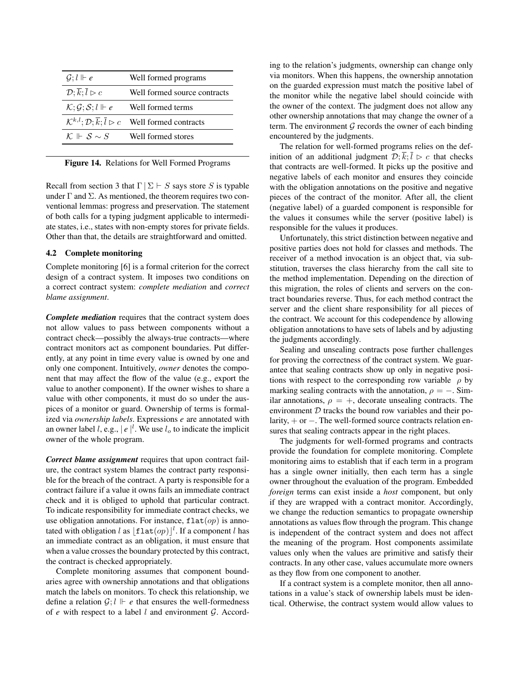| $\mathcal{G}$ ; $l \Vdash e$                                                 | Well formed programs         |
|------------------------------------------------------------------------------|------------------------------|
| $\mathcal{D};\overline{k};\overline{l}\triangleright c$                      | Well formed source contracts |
| $\mathcal{K}; \mathcal{G}; \mathcal{S}; l \Vdash e$                          | Well formed terms            |
| $\mathcal{K}^{k,l}$ : $\mathcal{D}$ : $\overline{k}$ : $\overline{l} \rhd c$ | Well formed contracts        |
| $K \Vdash S \sim S$                                                          | Well formed stores           |

Figure 14. Relations for Well Formed Programs

Recall from section 3 that  $\Gamma | \Sigma \vdash S$  says store S is typable under  $\Gamma$  and  $\Sigma$ . As mentioned, the theorem requires two conventional lemmas: progress and preservation. The statement of both calls for a typing judgment applicable to intermediate states, i.e., states with non-empty stores for private fields. Other than that, the details are straightforward and omitted.

## 4.2 Complete monitoring

Complete monitoring [\[6\]](#page-16-5) is a formal criterion for the correct design of a contract system. It imposes two conditions on a correct contract system: *complete mediation* and *correct blame assignment*.

*Complete mediation* requires that the contract system does not allow values to pass between components without a contract check—possibly the always-true contracts—where contract monitors act as component boundaries. Put differently, at any point in time every value is owned by one and only one component. Intuitively, *owner* denotes the component that may affect the flow of the value (e.g., export the value to another component). If the owner wishes to share a value with other components, it must do so under the auspices of a monitor or guard. Ownership of terms is formalized via *ownership labels*. Expressions *e* are annotated with an owner label *l*, e.g.,  $|e|^{l}$ . We use  $l_o$  to indicate the implicit owner of the whole program.

*Correct blame assignment* requires that upon contract failure, the contract system blames the contract party responsible for the breach of the contract. A party is responsible for a contract failure if a value it owns fails an immediate contract check and it is obliged to uphold that particular contract. To indicate responsibility for immediate contract checks, we use obligation annotations. For instance,  $flat(op)$  is annotated with obligation l as  $\lfloor \texttt{flat}(op) \rfloor^l$ . If a component l has an immediate contract as an obligation, it must ensure that when a value crosses the boundary protected by this contract, the contract is checked appropriately.

Complete monitoring assumes that component boundaries agree with ownership annotations and that obligations match the labels on monitors. To check this relationship, we define a relation  $G; l \Vdash e$  that ensures the well-formedness of  $e$  with respect to a label  $l$  and environment  $\mathcal{G}$ . According to the relation's judgments, ownership can change only via monitors. When this happens, the ownership annotation on the guarded expression must match the positive label of the monitor while the negative label should coincide with the owner of the context. The judgment does not allow any other ownership annotations that may change the owner of a term. The environment  $G$  records the owner of each binding encountered by the judgments.

The relation for well-formed programs relies on the definition of an additional judgment  $\mathcal{D}; \overline{k}; \overline{l} \geq c$  that checks that contracts are well-formed. It picks up the positive and negative labels of each monitor and ensures they coincide with the obligation annotations on the positive and negative pieces of the contract of the monitor. After all, the client (negative label) of a guarded component is responsible for the values it consumes while the server (positive label) is responsible for the values it produces.

Unfortunately, this strict distinction between negative and positive parties does not hold for classes and methods. The receiver of a method invocation is an object that, via substitution, traverses the class hierarchy from the call site to the method implementation. Depending on the direction of this migration, the roles of clients and servers on the contract boundaries reverse. Thus, for each method contract the server and the client share responsibility for all pieces of the contract. We account for this codependence by allowing obligation annotations to have sets of labels and by adjusting the judgments accordingly.

Sealing and unsealing contracts pose further challenges for proving the correctness of the contract system. We guarantee that sealing contracts show up only in negative positions with respect to the corresponding row variable  $\rho$  by marking sealing contracts with the annotation,  $\rho = -$ . Similar annotations,  $\rho = +$ , decorate unsealing contracts. The environment  $D$  tracks the bound row variables and their polarity, + or −. The well-formed source contracts relation ensures that sealing contracts appear in the right places.

The judgments for well-formed programs and contracts provide the foundation for complete monitoring. Complete monitoring aims to establish that if each term in a program has a single owner initially, then each term has a single owner throughout the evaluation of the program. Embedded *foreign* terms can exist inside a *host* component, but only if they are wrapped with a contract monitor. Accordingly, we change the reduction semantics to propagate ownership annotations as values flow through the program. This change is independent of the contract system and does not affect the meaning of the program. Host components assimilate values only when the values are primitive and satisfy their contracts. In any other case, values accumulate more owners as they flow from one component to another.

If a contract system is a complete monitor, then all annotations in a value's stack of ownership labels must be identical. Otherwise, the contract system would allow values to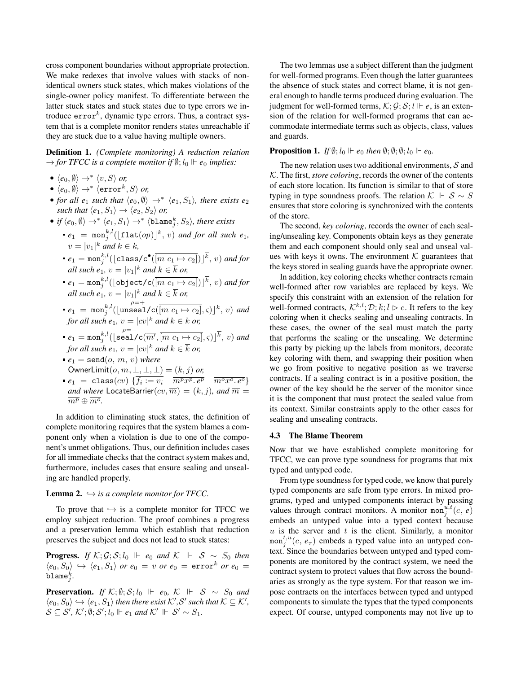cross component boundaries without appropriate protection. We make redexes that involve values with stacks of nonidentical owners stuck states, which makes violations of the single-owner policy manifest. To differentiate between the latter stuck states and stuck states due to type errors we introduce  $error^k$ , dynamic type errors. Thus, a contract system that is a complete monitor renders states unreachable if they are stuck due to a value having multiple owners.

Definition 1. *(Complete monitoring) A reduction relation*  $\rightarrow$  *for TFCC is a complete monitor if*  $\emptyset$ ;  $l_0 \Vdash e_0$  *implies:* 

- $\langle e_0, \emptyset \rangle \rightarrow^* \langle v, S \rangle$  *or*,
- $\langle e_0, \emptyset \rangle \rightarrow^* \langle \texttt{error}^k, S \rangle \textit{ or,}$
- for all  $e_1$  *such that*  $\langle e_0, \emptyset \rangle \rightarrow^* \langle e_1, S_1 \rangle$ *, there exists e*<sub>2</sub> *such that*  $\langle e_1, S_1 \rangle \rightarrow \langle e_2, S_2 \rangle$  *or,*
- *if*  $\langle e_0, \emptyset \rangle \rightarrow^* \langle e_1, S_1 \rangle \rightarrow^* \langle \texttt{blame}^k_j, S_2 \rangle$ , there exists
	- $e_1 = \text{mon}_j^{k,l}(\lfloor \texttt{flat}(op) \rfloor^{\overline{k}}, v)$  *and for all such*  $e_1$ *,*  $v = |v_1|^k$  *and*  $k \in \overline{k}$ *,*
	- $e_1 = \texttt{mon}_j^{k,l} (\lfloor \texttt{class/c}^{\bullet}(\overline{[m \ c_1 \mapsto c_2]})\rfloor^{\overline{k}}, \ v)$  and for *all such e*<sub>1</sub>,  $v = |v_1|^k$  *and*  $k \in \overline{k}$  *or*,
	- $e_1 = \texttt{mon}_j^{k,l}(\lfloor \texttt{object/c}([\overline{m\; c_1 \mapsto c_2}])\rfloor^{\overline{k}},\, v)$  and for *all such e*<sub>1</sub>,  $v = |v_1|^k$  *and*  $k \in \overline{k}$  *or*,
	- $e_1 = \text{mon}_j^{k,l}(\text{[unseal/c}(\overline{[m \ c_1 \mapsto c_2]}, \varsigma)\overline{[k}, v)$  and *for all such e*<sub>1</sub>,  $v = |cv|^k$  *and*  $k \in \overline{k}$  *or*,
	- $e_1 = \text{mon}_j^{k,l}(\lfloor \text{seal}/\text{c}(\overline{m'}, \overline{[m \ c_1 \mapsto c_2]}, \varsigma)\rfloor^{\overline{k}}, \ v)$  and *for all such e*<sub>1</sub>,  $v = |cv|^k$  *and*  $k \in \overline{k}$  *or*,
	- $e_1 = \text{send}(o, m, v)$  *where* OwnerLimit $(o, m, \bot, \bot, \bot) = (k, j)$  *or*,
	- $e_1 = \texttt{class}(cv) \left\{ \overline{f_i := v_i} \quad \overline{m^p x^p . e^p} \quad \overline{m^o x^o . e^o} \right\}$ *and where* LocateBarrier $(cv, \overline{m}) = (k, j)$ *, and*  $\overline{m} =$  $\overline{m^p} \oplus \overline{m^o}.$

In addition to eliminating stuck states, the definition of complete monitoring requires that the system blames a component only when a violation is due to one of the component's unmet obligations. Thus, our definition includes cases for all immediate checks that the contract system makes and, furthermore, includes cases that ensure sealing and unsealing are handled properly.

#### **Lemma 2.**  $\hookrightarrow$  *is a complete monitor for TFCC.*

To prove that  $\hookrightarrow$  is a complete monitor for TFCC we employ subject reduction. The proof combines a progress and a preservation lemma which establish that reduction preserves the subject and does not lead to stuck states:

**Progress.** If  $K; G; S; l_0 \Vdash e_0$  and  $K \Vdash S \sim S_0$  then  $\langle e_0, S_0 \rangle \, \hookrightarrow \, \langle e_1, S_1 \rangle$   $or$   $e_0 \, = \, v$   $\,or\,e_0 \, = \, \mathtt{error}^k$   $or$   $e_0 \, = \,$  $\mathtt{blame}_j^k.$ 

**Preservation.** *If*  $K$ ;  $\emptyset$ ;  $S$ ;  $l_0$   $\Vdash$   $e_0$ ,  $K$   $\Vdash$   $S \sim S_0$  and  $\langle e_0, S_0 \rangle \hookrightarrow \langle e_1, S_1 \rangle$  then there exist  $K', S'$  such that  $K \subseteq K'$ ,  $\mathcal{S} \subseteq \mathcal{S}', \mathcal{K}'; \emptyset; \mathcal{S}'; l_0 \Vdash e_1 \text{ and } \mathcal{K}' \Vdash \mathcal{S}' \sim S_1.$ 

The two lemmas use a subject different than the judgment for well-formed programs. Even though the latter guarantees the absence of stuck states and correct blame, it is not general enough to handle terms produced during evaluation. The judgment for well-formed terms,  $\mathcal{K}; \mathcal{G}; \mathcal{S}; l \Vdash e$ , is an extension of the relation for well-formed programs that can accommodate intermediate terms such as objects, class, values and guards.

# **Proposition 1.** *If*  $\emptyset$ ;  $l_0 \Vdash e_0$  *then*  $\emptyset$ ;  $\emptyset$ ;  $\emptyset$ ;  $l_0 \Vdash e_0$ .

The new relation uses two additional environments,  $S$  and K. The first, *store coloring*, records the owner of the contents of each store location. Its function is similar to that of store typing in type soundness proofs. The relation  $K \Vdash S \sim S$ ensures that store coloring is synchronized with the contents of the store.

The second, *key coloring*, records the owner of each sealing/unsealing key. Components obtain keys as they generate them and each component should only seal and unseal values with keys it owns. The environment  $K$  guarantees that the keys stored in sealing guards have the appropriate owner.

In addition, key coloring checks whether contracts remain well-formed after row variables are replaced by keys. We specify this constraint with an extension of the relation for well-formed contracts,  $\mathcal{K}^{k,l}$ ;  $\mathcal{D}; \overline{k}; \overline{l} \triangleright c$ . It refers to the key coloring when it checks sealing and unsealing contracts. In these cases, the owner of the seal must match the party that performs the sealing or the unsealing. We determine this party by picking up the labels from monitors, decorate key coloring with them, and swapping their position when we go from positive to negative position as we traverse contracts. If a sealing contract is in a positive position, the owner of the key should be the server of the monitor since it is the component that must protect the sealed value from its context. Similar constraints apply to the other cases for sealing and unsealing contracts.

#### <span id="page-14-0"></span>4.3 The Blame Theorem

Now that we have established complete monitoring for TFCC, we can prove type soundness for programs that mix typed and untyped code.

From type soundness for typed code, we know that purely typed components are safe from type errors. In mixed programs, typed and untyped components interact by passing values through contract monitors. A monitor  $\text{mon}_{j}^{u,t}(c, e)$ embeds an untyped value into a typed context because  $u$  is the server and  $t$  is the client. Similarly, a monitor  $\text{mon}_j^{t,u}(c, e_\tau)$  embeds a typed value into an untyped context. Since the boundaries between untyped and typed components are monitored by the contract system, we need the contract system to protect values that flow across the boundaries as strongly as the type system. For that reason we impose contracts on the interfaces between typed and untyped components to simulate the types that the typed components expect. Of course, untyped components may not live up to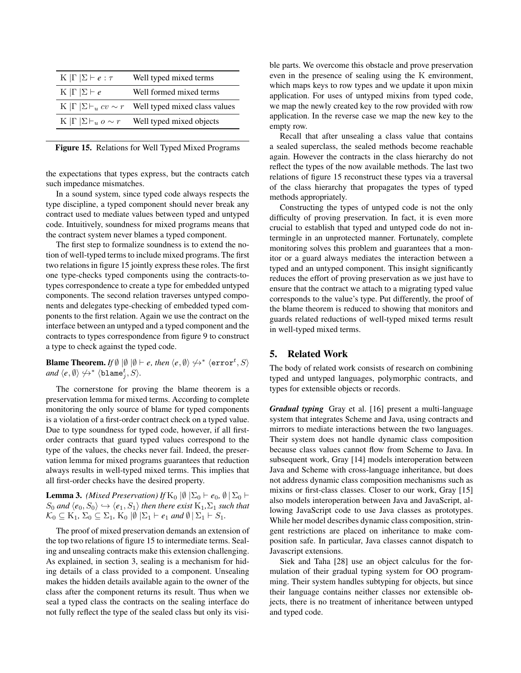| K $ \Gamma \Sigma$ + e : $\tau$     | Well typed mixed terms                                         |
|-------------------------------------|----------------------------------------------------------------|
| K $ \Gamma \Sigma \vdash e$         | Well formed mixed terms                                        |
|                                     | K $ \Gamma \Sigma_{u} cv \sim r$ Well typed mixed class values |
| K $ \Gamma \Sigma\vdash_u o \sim r$ | Well typed mixed objects                                       |

<span id="page-15-0"></span>Figure 15. Relations for Well Typed Mixed Programs

the expectations that types express, but the contracts catch such impedance mismatches.

In a sound system, since typed code always respects the type discipline, a typed component should never break any contract used to mediate values between typed and untyped code. Intuitively, soundness for mixed programs means that the contract system never blames a typed component.

The first step to formalize soundness is to extend the notion of well-typed terms to include mixed programs. The first two relations in figure [15](#page-15-0) jointly express these roles. The first one type-checks typed components using the contracts-totypes correspondence to create a type for embedded untyped components. The second relation traverses untyped components and delegates type-checking of embedded typed components to the first relation. Again we use the contract on the interface between an untyped and a typed component and the contracts to types correspondence from figure [9](#page-8-0) to construct a type to check against the typed code.

**Blame Theorem.** *If*  $\emptyset$   $|\emptyset| \in e$ , then  $\langle e, \emptyset \rangle \nleftrightarrow^* \langle \text{error}^t, S \rangle$  $and \langle e, \emptyset \rangle \not\hookrightarrow^* \langle \texttt{blame}^t_j, S \rangle.$ 

The cornerstone for proving the blame theorem is a preservation lemma for mixed terms. According to complete monitoring the only source of blame for typed components is a violation of a first-order contract check on a typed value. Due to type soundness for typed code, however, if all firstorder contracts that guard typed values correspond to the type of the values, the checks never fail. Indeed, the preservation lemma for mixed programs guarantees that reduction always results in well-typed mixed terms. This implies that all first-order checks have the desired property.

**Lemma 3.** *(Mixed Preservation) If*  $K_0 \downarrow \emptyset$   $|\Sigma_0 \vdash e_0$ ,  $\emptyset$   $|\Sigma_0 \vdash$  $S_0$  *and*  $\langle e_0, S_0 \rangle \hookrightarrow \langle e_1, S_1 \rangle$  *then there exist*  $K_1, \Sigma_1$  *such that*  $\mathcal{K}_0 \subseteq \mathrm{K}_1, \, \Sigma_0 \subseteq \Sigma_1, \, \mathrm{K}_0 \left| \emptyset \right| \Sigma_1 \vdash e_1 \text{ and } \emptyset \left| \Sigma_1 \vdash S_1 \right|$ 

The proof of mixed preservation demands an extension of the top two relations of figure [15](#page-15-0) to intermediate terms. Sealing and unsealing contracts make this extension challenging. As explained, in section [3,](#page-6-0) sealing is a mechanism for hiding details of a class provided to a component. Unsealing makes the hidden details available again to the owner of the class after the component returns its result. Thus when we seal a typed class the contracts on the sealing interface do not fully reflect the type of the sealed class but only its visible parts. We overcome this obstacle and prove preservation even in the presence of sealing using the K environment, which maps keys to row types and we update it upon mixin application. For uses of untyped mixins from typed code, we map the newly created key to the row provided with row application. In the reverse case we map the new key to the empty row.

Recall that after unsealing a class value that contains a sealed superclass, the sealed methods become reachable again. However the contracts in the class hierarchy do not reflect the types of the now available methods. The last two relations of figure [15](#page-15-0) reconstruct these types via a traversal of the class hierarchy that propagates the types of typed methods appropriately.

Constructing the types of untyped code is not the only difficulty of proving preservation. In fact, it is even more crucial to establish that typed and untyped code do not intermingle in an unprotected manner. Fortunately, complete monitoring solves this problem and guarantees that a monitor or a guard always mediates the interaction between a typed and an untyped component. This insight significantly reduces the effort of proving preservation as we just have to ensure that the contract we attach to a migrating typed value corresponds to the value's type. Put differently, the proof of the blame theorem is reduced to showing that monitors and guards related reductions of well-typed mixed terms result in well-typed mixed terms.

## 5. Related Work

The body of related work consists of research on combining typed and untyped languages, polymorphic contracts, and types for extensible objects or records.

*Gradual typing* Gray et al. [\[16\]](#page-17-20) present a multi-language system that integrates Scheme and Java, using contracts and mirrors to mediate interactions between the two languages. Their system does not handle dynamic class composition because class values cannot flow from Scheme to Java. In subsequent work, Gray [\[14\]](#page-17-21) models interoperation between Java and Scheme with cross-language inheritance, but does not address dynamic class composition mechanisms such as mixins or first-class classes. Closer to our work, Gray [\[15\]](#page-17-22) also models interoperation between Java and JavaScript, allowing JavaScript code to use Java classes as prototypes. While her model describes dynamic class composition, stringent restrictions are placed on inheritance to make composition safe. In particular, Java classes cannot dispatch to Javascript extensions.

Siek and Taha [\[28\]](#page-17-23) use an object calculus for the formulation of their gradual typing system for OO programming. Their system handles subtyping for objects, but since their language contains neither classes nor extensible objects, there is no treatment of inheritance between untyped and typed code.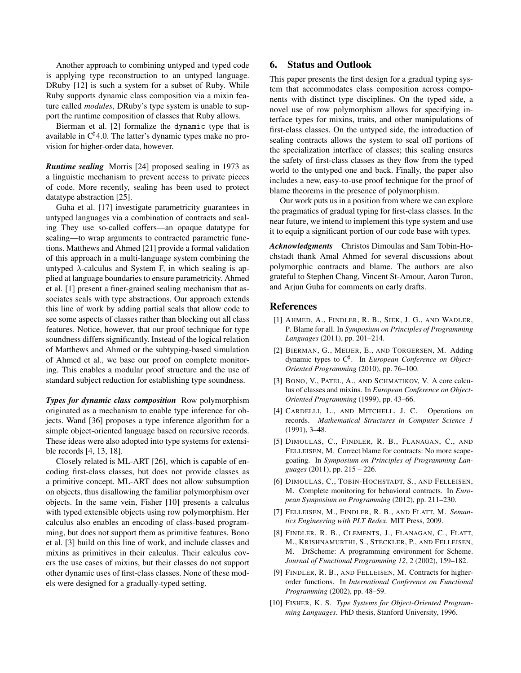Another approach to combining untyped and typed code is applying type reconstruction to an untyped language. DRuby [\[12\]](#page-17-3) is such a system for a subset of Ruby. While Ruby supports dynamic class composition via a mixin feature called *modules*, DRuby's type system is unable to support the runtime composition of classes that Ruby allows.

Bierman et al. [\[2\]](#page-16-6) formalize the dynamic type that is available in  $C^{\sharp}4.0$ . The latter's dynamic types make no provision for higher-order data, however.

*Runtime sealing* Morris [\[24\]](#page-17-24) proposed sealing in 1973 as a linguistic mechanism to prevent access to private pieces of code. More recently, sealing has been used to protect datatype abstraction [\[25\]](#page-17-25).

Guha et al. [\[17\]](#page-17-26) investigate parametricity guarantees in untyped languages via a combination of contracts and sealing They use so-called coffers—an opaque datatype for sealing—to wrap arguments to contracted parametric functions. Matthews and Ahmed [\[21\]](#page-17-27) provide a formal validation of this approach in a multi-language system combining the untyped  $\lambda$ -calculus and System F, in which sealing is applied at language boundaries to ensure parametricity. Ahmed et al. [\[1\]](#page-16-7) present a finer-grained sealing mechanism that associates seals with type abstractions. Our approach extends this line of work by adding partial seals that allow code to see some aspects of classes rather than blocking out all class features. Notice, however, that our proof technique for type soundness differs significantly. Instead of the logical relation of Matthews and Ahmed or the subtyping-based simulation of Ahmed et al., we base our proof on complete monitoring. This enables a modular proof structure and the use of standard subject reduction for establishing type soundness.

*Types for dynamic class composition* Row polymorphism originated as a mechanism to enable type inference for objects. Wand [\[36\]](#page-17-13) proposes a type inference algorithm for a simple object-oriented language based on recursive records. These ideas were also adopted into type systems for extensible records [\[4,](#page-16-8) [13,](#page-17-15) [18\]](#page-17-16).

Closely related is ML-ART [\[26\]](#page-17-14), which is capable of encoding first-class classes, but does not provide classes as a primitive concept. ML-ART does not allow subsumption on objects, thus disallowing the familiar polymorphism over objects. In the same vein, Fisher [\[10\]](#page-16-2) presents a calculus with typed extensible objects using row polymorphism. Her calculus also enables an encoding of class-based programming, but does not support them as primitive features. Bono et al. [\[3\]](#page-16-9) build on this line of work, and include classes and mixins as primitives in their calculus. Their calculus covers the use cases of mixins, but their classes do not support other dynamic uses of first-class classes. None of these models were designed for a gradually-typed setting.

## 6. Status and Outlook

This paper presents the first design for a gradual typing system that accommodates class composition across components with distinct type disciplines. On the typed side, a novel use of row polymorphism allows for specifying interface types for mixins, traits, and other manipulations of first-class classes. On the untyped side, the introduction of sealing contracts allows the system to seal off portions of the specialization interface of classes; this sealing ensures the safety of first-class classes as they flow from the typed world to the untyped one and back. Finally, the paper also includes a new, easy-to-use proof technique for the proof of blame theorems in the presence of polymorphism.

Our work puts us in a position from where we can explore the pragmatics of gradual typing for first-class classes. In the near future, we intend to implement this type system and use it to equip a significant portion of our code base with types.

*Acknowledgments* Christos Dimoulas and Sam Tobin-Hochstadt thank Amal Ahmed for several discussions about polymorphic contracts and blame. The authors are also grateful to Stephen Chang, Vincent St-Amour, Aaron Turon, and Arjun Guha for comments on early drafts.

#### References

- <span id="page-16-7"></span>[1] AHMED, A., FINDLER, R. B., SIEK, J. G., AND WADLER, P. Blame for all. In *Symposium on Principles of Programming Languages* (2011), pp. 201–214.
- <span id="page-16-6"></span>[2] BIERMAN, G., MEIJER, E., AND TORGERSEN, M. Adding dynamic types to C] . In *European Conference on Object-Oriented Programming* (2010), pp. 76–100.
- <span id="page-16-9"></span>[3] BONO, V., PATEL, A., AND SCHMATIKOV, V. A core calculus of classes and mixins. In *European Conference on Object-Oriented Programming* (1999), pp. 43–66.
- <span id="page-16-8"></span>[4] CARDELLI, L., AND MITCHELL, J. C. Operations on records. *Mathematical Structures in Computer Science 1* (1991), 3–48.
- <span id="page-16-3"></span>[5] DIMOULAS, C., FINDLER, R. B., FLANAGAN, C., AND FELLEISEN, M. Correct blame for contracts: No more scapegoating. In *Symposium on Principles of Programming Languages* (2011), pp. 215 – 226.
- <span id="page-16-5"></span>[6] DIMOULAS, C., TOBIN-HOCHSTADT, S., AND FELLEISEN, M. Complete monitoring for behavioral contracts. In *European Symposium on Programming* (2012), pp. 211–230.
- <span id="page-16-4"></span>[7] FELLEISEN, M., FINDLER, R. B., AND FLATT, M. *Semantics Engineering with PLT Redex*. MIT Press, 2009.
- <span id="page-16-0"></span>[8] FINDLER, R. B., CLEMENTS, J., FLANAGAN, C., FLATT, M., KRISHNAMURTHI, S., STECKLER, P., AND FELLEISEN, M. DrScheme: A programming environment for Scheme. *Journal of Functional Programming 12*, 2 (2002), 159–182.
- <span id="page-16-1"></span>[9] FINDLER, R. B., AND FELLEISEN, M. Contracts for higherorder functions. In *International Conference on Functional Programming* (2002), pp. 48–59.
- <span id="page-16-2"></span>[10] FISHER, K. S. *Type Systems for Object-Oriented Programming Languages*. PhD thesis, Stanford University, 1996.